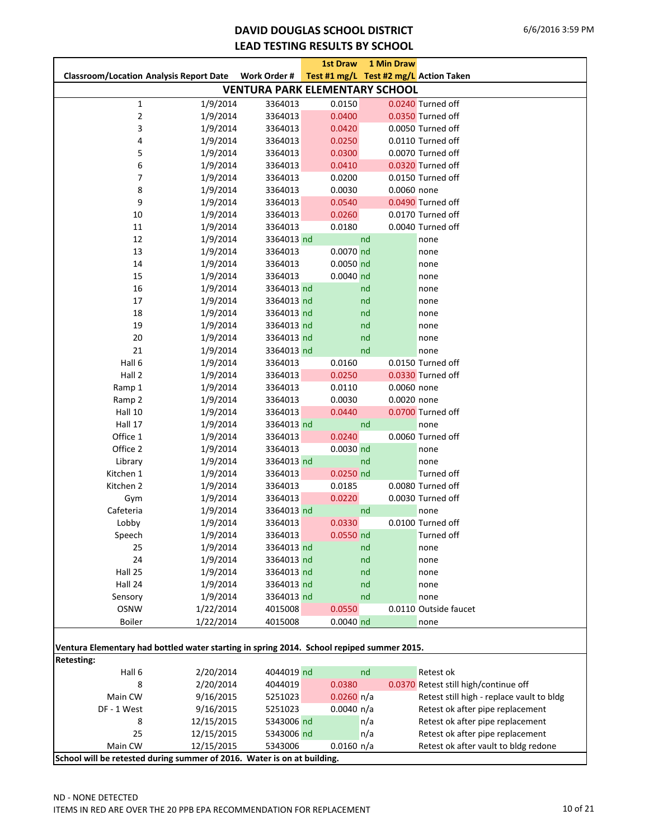#### **DAVID DOUGLAS SCHOOL DISTRICT LEAD TESTING RESULTS BY SCHOOL**

|                                                                                           |            |                                       | <b>1st Draw</b> | 1 Min Draw                             |                                           |
|-------------------------------------------------------------------------------------------|------------|---------------------------------------|-----------------|----------------------------------------|-------------------------------------------|
| <b>Classroom/Location Analysis Report Date</b>                                            |            | Work Order #                          |                 | Test #1 mg/L Test #2 mg/L Action Taken |                                           |
|                                                                                           |            | <b>VENTURA PARK ELEMENTARY SCHOOL</b> |                 |                                        |                                           |
| 1                                                                                         | 1/9/2014   | 3364013                               | 0.0150          |                                        | 0.0240 Turned off                         |
| 2                                                                                         | 1/9/2014   | 3364013                               | 0.0400          |                                        | 0.0350 Turned off                         |
| 3                                                                                         | 1/9/2014   | 3364013                               | 0.0420          |                                        | 0.0050 Turned off                         |
| 4                                                                                         | 1/9/2014   | 3364013                               | 0.0250          |                                        | 0.0110 Turned off                         |
| 5                                                                                         | 1/9/2014   | 3364013                               | 0.0300          |                                        | 0.0070 Turned off                         |
| 6                                                                                         | 1/9/2014   | 3364013                               | 0.0410          |                                        | 0.0320 Turned off                         |
| 7                                                                                         | 1/9/2014   | 3364013                               | 0.0200          |                                        | 0.0150 Turned off                         |
| 8                                                                                         | 1/9/2014   | 3364013                               | 0.0030          | 0.0060 none                            |                                           |
| 9                                                                                         | 1/9/2014   | 3364013                               | 0.0540          |                                        | 0.0490 Turned off                         |
| 10                                                                                        | 1/9/2014   | 3364013                               | 0.0260          |                                        | 0.0170 Turned off                         |
| 11                                                                                        | 1/9/2014   | 3364013                               | 0.0180          |                                        | 0.0040 Turned off                         |
| 12                                                                                        | 1/9/2014   | 3364013 nd                            |                 | nd                                     | none                                      |
| 13                                                                                        | 1/9/2014   | 3364013                               | 0.0070 nd       |                                        | none                                      |
| 14                                                                                        | 1/9/2014   | 3364013                               | $0.0050$ nd     |                                        | none                                      |
| 15                                                                                        | 1/9/2014   | 3364013                               | $0.0040$ nd     |                                        | none                                      |
| 16                                                                                        | 1/9/2014   | 3364013 nd                            |                 | nd                                     | none                                      |
| 17                                                                                        | 1/9/2014   | 3364013 nd                            |                 | nd                                     | none                                      |
| 18                                                                                        | 1/9/2014   | 3364013 nd                            |                 | nd                                     | none                                      |
| 19                                                                                        | 1/9/2014   | 3364013 nd                            |                 | nd                                     | none                                      |
| 20                                                                                        | 1/9/2014   | 3364013 nd                            |                 | nd                                     | none                                      |
| 21                                                                                        | 1/9/2014   | 3364013 nd                            |                 | nd                                     | none                                      |
| Hall 6                                                                                    | 1/9/2014   | 3364013                               | 0.0160          |                                        | 0.0150 Turned off                         |
| Hall 2                                                                                    | 1/9/2014   | 3364013                               | 0.0250          |                                        | 0.0330 Turned off                         |
| Ramp 1                                                                                    | 1/9/2014   | 3364013                               | 0.0110          | 0.0060 none                            |                                           |
| Ramp 2                                                                                    | 1/9/2014   | 3364013                               | 0.0030          | 0.0020 none                            |                                           |
| Hall 10                                                                                   | 1/9/2014   | 3364013                               | 0.0440          |                                        | 0.0700 Turned off                         |
| Hall 17                                                                                   | 1/9/2014   | 3364013 nd                            |                 | nd                                     | none                                      |
| Office 1                                                                                  | 1/9/2014   | 3364013                               | 0.0240          |                                        | 0.0060 Turned off                         |
| Office 2                                                                                  | 1/9/2014   | 3364013                               | $0.0030$ nd     |                                        | none                                      |
| Library                                                                                   | 1/9/2014   | 3364013 nd                            |                 | nd                                     | none                                      |
| Kitchen 1                                                                                 | 1/9/2014   | 3364013                               | $0.0250$ nd     |                                        | Turned off                                |
| Kitchen 2                                                                                 | 1/9/2014   | 3364013                               | 0.0185          |                                        | 0.0080 Turned off                         |
| Gym                                                                                       | 1/9/2014   | 3364013                               | 0.0220          |                                        | 0.0030 Turned off                         |
| Cafeteria                                                                                 | 1/9/2014   | 3364013 nd                            |                 | nd                                     | none                                      |
| Lobby                                                                                     | 1/9/2014   | 3364013                               | 0.0330          |                                        | 0.0100 Turned off                         |
| Speech                                                                                    | 1/9/2014   | 3364013                               | $0.0550$ nd     |                                        | Turned off                                |
| 25                                                                                        | 1/9/2014   | 3364013 nd                            |                 | nd                                     | none                                      |
| 24                                                                                        | 1/9/2014   | 3364013 nd                            |                 | nd                                     | none                                      |
| Hall 25                                                                                   | 1/9/2014   | 3364013 nd                            |                 | nd                                     | none                                      |
| Hall 24                                                                                   | 1/9/2014   | 3364013 nd                            |                 | nd                                     | none                                      |
| Sensory                                                                                   | 1/9/2014   | 3364013 nd                            |                 | nd                                     | none                                      |
| <b>OSNW</b>                                                                               | 1/22/2014  | 4015008                               | 0.0550          |                                        | 0.0110 Outside faucet                     |
| <b>Boiler</b>                                                                             | 1/22/2014  | 4015008                               | $0.0040$ nd     |                                        | none                                      |
| Ventura Elementary had bottled water starting in spring 2014. School repiped summer 2015. |            |                                       |                 |                                        |                                           |
| <b>Retesting:</b>                                                                         |            |                                       |                 |                                        |                                           |
| Hall 6                                                                                    | 2/20/2014  | 4044019 nd                            |                 | nd                                     | Retest ok                                 |
| 8                                                                                         | 2/20/2014  | 4044019                               | 0.0380          |                                        | 0.0370 Retest still high/continue off     |
| Main CW                                                                                   | 9/16/2015  | 5251023                               | $0.0260$ n/a    |                                        | Retest still high - replace vault to bldg |
| DF - 1 West                                                                               | 9/16/2015  | 5251023                               | 0.0040 n/a      |                                        | Retest ok after pipe replacement          |
| 8                                                                                         | 12/15/2015 | 5343006 nd                            |                 | n/a                                    | Retest ok after pipe replacement          |
| 25                                                                                        | 12/15/2015 | 5343006 nd                            |                 | n/a                                    | Retest ok after pipe replacement          |
| Main CW                                                                                   | 12/15/2015 | 5343006                               | $0.0160$ n/a    |                                        | Retest ok after vault to bldg redone      |
| School will be retested during summer of 2016. Water is on at building.                   |            |                                       |                 |                                        |                                           |
|                                                                                           |            |                                       |                 |                                        |                                           |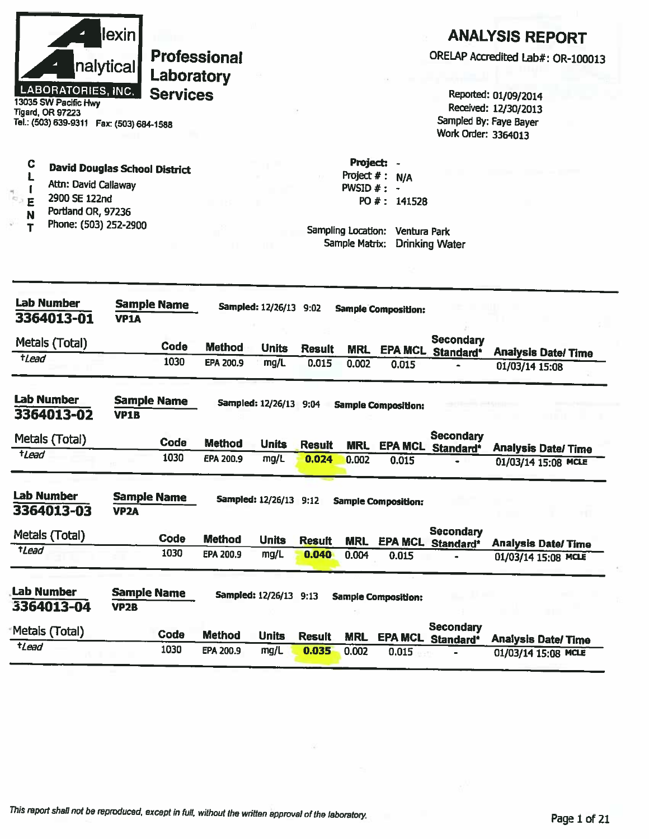

Tigard, OR 97223<br>Tel.: (503) 639-9311 Fax: (503) 684-1588

| <b>ANALYSIS REPORT</b> |  |
|------------------------|--|
|------------------------|--|

ORELAP Accredited Lab#: OR-100013

Reported: 01/09/2014 Received: 12/30/2013 Sampled By: Faye Bayer Work Order: 3364013

 $\mathbf C$ 

- **David Douglas School District**  $\mathbf{L}$
- Attn: David Callaway  $\mathbf{r}$
- 2900 SE 122nd E
- Portland OR, 97236 N
- Phone: (503) 252-2900  $\mathbf T$

Project: -Project  $# : N/A$ PWSID  $#: -$ PO #: 141528

| Lab Number<br>3364013-01        | <b>Sample Name</b><br><b>VP1A</b>       |               | Sampled: 12/26/13 9:02   |               |            | <b>Sample Composition:</b> |                               |                           |
|---------------------------------|-----------------------------------------|---------------|--------------------------|---------------|------------|----------------------------|-------------------------------|---------------------------|
| Metals (Total)                  | Code                                    | <b>Method</b> | <b>Units</b>             | <b>Result</b> | <b>MRL</b> | <b>EPA MCL</b>             | Secondary<br>Standard*        | <b>Analysis Date/Time</b> |
| <b>tLead</b>                    | 1030                                    | EPA 200.9     | mg/L                     | 0.015         | 0.002      | 0.015                      |                               | 01/03/14 15:08            |
| <b>Lab Number</b><br>3364013-02 | <b>Sample Name</b><br><b>VP1B</b>       |               | Sampled: 12/26/13 9:04   |               |            | <b>Sample Composition:</b> |                               |                           |
| Metals (Total)                  | Code                                    | <b>Method</b> | <b>Units</b>             | <b>Result</b> | <b>MRL</b> | <b>EPA MCL</b>             | <b>Secondary</b><br>Standard* | <b>Analysis Date/Time</b> |
| tLead                           | 1030                                    | EPA 200.9     | mg/L                     | 0.024         | 0.002      | 0.015                      | ۰                             | 01/03/14 15:08 MCLE       |
| <b>Lab Number</b><br>3364013-03 | <b>Sample Name</b><br>VP <sub>2A</sub>  |               | Sampled: 12/26/13 9:12   |               |            | <b>Sample Composition:</b> |                               |                           |
| Metals (Total)                  | Code                                    | <b>Method</b> | <b>Units</b>             | <b>Result</b> | <b>MRL</b> | <b>EPA MCL</b>             | Secondary<br>Standard*        | <b>Analysis Date/Time</b> |
| <b>tLead</b>                    | 1030                                    | EPA 200.9     | mg/L                     | 0.040         | 0.004      | 0.015                      |                               | 01/03/14 15:08 MCLE       |
| <b>Lab Number</b><br>3364013-04 | <b>Sample Name</b><br>VP <sub>2</sub> B |               | <b>Sampled: 12/26/13</b> | 9:13          |            | <b>Sample Composition:</b> |                               |                           |
| Metals (Total)                  | Code                                    | <b>Method</b> | <b>Units</b>             | <b>Result</b> | <b>MRL</b> | <b>EPA MCL</b>             | <b>Secondary</b><br>Standard* | <b>Analysis Date/Time</b> |
| tLead                           | 1030                                    | EPA 200.9     | mg/L                     | 0.035         | 0.002      | 0.015                      |                               | 01/03/14 15:08 MCLE       |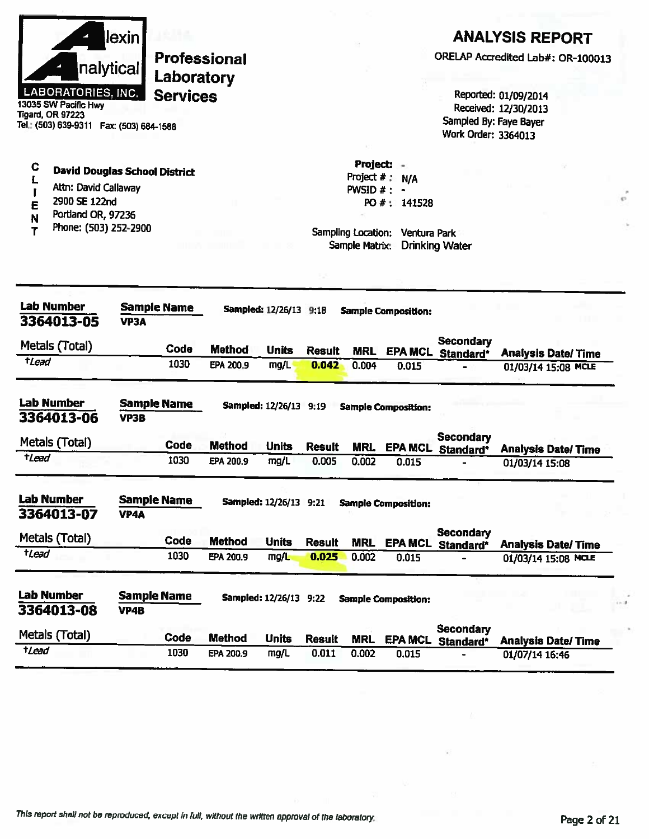|                     |                                                                                                                           | lexin |                            |               |                               |               |                                      |                                                |                                       | <b>ANALYSIS REPORT</b>                                                 |  |
|---------------------|---------------------------------------------------------------------------------------------------------------------------|-------|----------------------------|---------------|-------------------------------|---------------|--------------------------------------|------------------------------------------------|---------------------------------------|------------------------------------------------------------------------|--|
|                     | nalytical                                                                                                                 |       | Professional<br>Laboratory |               |                               |               |                                      |                                                |                                       | ORELAP Accredited Lab#: OR-100013                                      |  |
|                     | <b>LABORATORIES, INC.</b><br>13035 SW Pacific Hwy<br><b>Tigard, OR 97223</b><br>Tel.: (503) 639-9311  Fax: (503) 684-1588 |       | <b>Services</b>            |               |                               |               |                                      |                                                | Work Order: 3364013                   | Reported: 01/09/2014<br>Received: 12/30/2013<br>Sampled By: Faye Bayer |  |
| C<br>E              | <b>David Douglas School District</b><br>Attn: David Callaway<br>2900 SE 122nd                                             |       |                            |               |                               |               | Project $#$ :<br>PWSID #:            | Project: -<br>N/A<br>$\bullet$<br>PO #: 141528 |                                       |                                                                        |  |
| N<br>Т              | Portland OR, 97236<br>Phone: (503) 252-2900                                                                               |       |                            |               |                               |               | Sampling Location:<br>Sample Matrix: | Ventura Park                                   | <b>Drinking Water</b>                 |                                                                        |  |
|                     |                                                                                                                           |       |                            |               |                               |               |                                      |                                                |                                       |                                                                        |  |
|                     | <b>Lab Number</b><br>3364013-05                                                                                           | VP3A  | <b>Sample Name</b>         |               | <b>Sampled: 12/26/13 9:18</b> |               |                                      | <b>Sample Composition:</b>                     |                                       |                                                                        |  |
|                     | Metals (Total)                                                                                                            |       | Code                       | <b>Method</b> | <b>Units</b>                  | <b>Result</b> | <b>MRL</b>                           | <b>EPA MCL</b>                                 | <b>Secondary</b><br>Standard*         | <b>Analysis Date/Time</b>                                              |  |
| <i><b>tLead</b></i> |                                                                                                                           |       | 1030                       | EPA 200.9     | mg/L                          | 0.042         | 0.004                                | 0.015                                          |                                       | 01/03/14 15:08 MCLE                                                    |  |
|                     | <b>Lab Number</b><br>3364013-06                                                                                           | VP3B  | <b>Sample Name</b>         |               | Sampled: 12/26/13 9:19        |               |                                      | <b>Sample Composition:</b>                     |                                       |                                                                        |  |
|                     | Metals (Total)                                                                                                            |       | Code                       | <b>Method</b> | <b>Units</b>                  | <b>Result</b> | <b>MRL</b>                           |                                                | <b>Secondary</b><br>EPA MCL Standard* | <b>Analysis Date/Time</b>                                              |  |
| tLead               |                                                                                                                           |       | 1030                       | EPA 200.9     | mg/L                          | 0.005         | 0.002                                | 0.015                                          |                                       | 01/03/14 15:08                                                         |  |
|                     | <b>Lab Number</b><br>3364013-07                                                                                           | VP4A  | <b>Sample Name</b>         |               | Sampled: 12/26/13 9:21        |               |                                      | <b>Sample Composition:</b>                     |                                       |                                                                        |  |
|                     | Metals (Total)                                                                                                            |       | Code                       | <b>Method</b> | <b>Units</b>                  | <b>Result</b> | <b>MRL</b>                           |                                                | <b>Secondary</b><br>EPA MCL Standard* | <b>Analysis Date/Time</b>                                              |  |
| tLead               |                                                                                                                           |       | 1030                       | EPA 200.9     | mg/L                          | 0.025         | 0.002                                | 0.015                                          | $\blacksquare$                        | 01/03/14 15:08 MCLE                                                    |  |
|                     | <b>Lab Number</b><br>3364013-08                                                                                           | VP4B  | <b>Sample Name</b>         |               | <b>Sampled: 12/26/13 9:22</b> |               |                                      | <b>Sample Composition:</b>                     |                                       |                                                                        |  |
|                     | Metals (Total)                                                                                                            |       | Code                       | <b>Method</b> | <b>Units</b>                  | <b>Result</b> | <b>MRL</b>                           |                                                | <b>Secondary</b><br>EPA MCL Standard* | <b>Analysis Date/Time</b>                                              |  |
| tLead               |                                                                                                                           |       | 1030                       | EPA 200.9     | mg/L                          | 0.011         | 0.002                                | 0.015                                          |                                       | 01/07/14 16:46                                                         |  |
|                     |                                                                                                                           |       |                            |               |                               |               |                                      |                                                |                                       |                                                                        |  |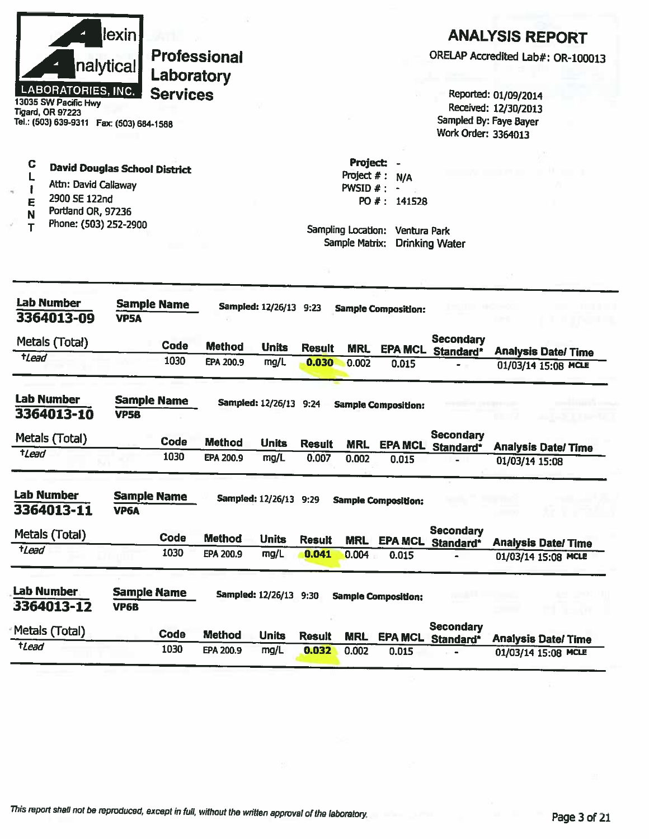|                     | nalytical<br><b>LABORATORIES, INC.</b><br>13035 SW Pacific Hwy<br>Tigard, OR 97223<br>Tel.: (503) 639-9311  Fax: (503) 684-1588 | lexin!            | Laboratory<br><b>Services</b> | <b>Professional</b> |                        |               |                                                                                      |                                                       | Work Order: 3364013                       | <b>ANALYSIS REPORT</b><br>ORELAP Accredited Lab#: OR-100013<br>Reported: 01/09/2014<br>Received: 12/30/2013<br>Sampled By: Faye Bayer |
|---------------------|---------------------------------------------------------------------------------------------------------------------------------|-------------------|-------------------------------|---------------------|------------------------|---------------|--------------------------------------------------------------------------------------|-------------------------------------------------------|-------------------------------------------|---------------------------------------------------------------------------------------------------------------------------------------|
| C<br>L,<br>E<br>N   | <b>David Douglas School District</b><br>Attn: David Callaway<br>2900 SE 122nd<br>Portland OR, 97236<br>Phone: (503) 252-2900    |                   |                               |                     |                        |               | <b>Project:</b><br>Project $#$ :<br>PWSID #:<br>Sampling Location:<br>Sample Matrix: | N/A<br>$\blacksquare$<br>PO #: 141528<br>Ventura Park | <b>Drinking Water</b>                     |                                                                                                                                       |
|                     | <b>Lab Number</b><br>3364013-09                                                                                                 | <b>VP5A</b>       | <b>Sample Name</b>            |                     | Sampled: 12/26/13 9:23 |               |                                                                                      | <b>Sample Composition:</b>                            |                                           |                                                                                                                                       |
|                     | Metals (Total)                                                                                                                  |                   | Code                          | <b>Method</b>       | <b>Units</b>           | <b>Result</b> | <b>MRL</b>                                                                           | <b>EPA MCL</b>                                        | <b>Secondary</b>                          |                                                                                                                                       |
| <i><b>t</b>Lead</i> |                                                                                                                                 |                   | 1030                          | EPA 200.9           | mg/L                   | 0.030         | 0.002                                                                                | 0.015                                                 | Standard*                                 | <b>Analysis Date/Time</b><br>01/03/14 15:08 MCLE                                                                                      |
|                     | <b>Lab Number</b><br>3364013-10                                                                                                 | <b>VP5B</b>       | <b>Sample Name</b>            |                     | Sampled: 12/26/13 9:24 |               |                                                                                      | <b>Sample Composition:</b>                            |                                           |                                                                                                                                       |
|                     | Metals (Total)                                                                                                                  |                   | <b>Code</b>                   | <b>Method</b>       | <b>Units</b>           | <b>Result</b> | <b>MRL</b>                                                                           |                                                       | Secondary<br>EPA MCL Standard*            | <b>Analysis Date/Time</b>                                                                                                             |
| <i><b>tLead</b></i> |                                                                                                                                 |                   | 1030                          | <b>EPA 200.9</b>    | mg/L                   | 0.007         | 0.002                                                                                | 0.015                                                 |                                           | 01/03/14 15:08                                                                                                                        |
|                     | <b>Lab Number</b><br>3364013-11                                                                                                 | VP <sub>6</sub> A | <b>Sample Name</b>            |                     | Sampled: 12/26/13 9:29 |               |                                                                                      | <b>Sample Composition:</b>                            |                                           |                                                                                                                                       |
|                     | Metals (Total)                                                                                                                  |                   | Code                          | <b>Method</b>       | <b>Units</b>           | <b>Result</b> | <b>MRL</b>                                                                           |                                                       | <b>Secondary</b>                          |                                                                                                                                       |
| $t$ <i>Lead</i>     |                                                                                                                                 |                   | 1030                          | EPA 200.9           | mg/L                   | 0.041         | 0.004                                                                                | 0.015                                                 | <b>EPA MCL Standard*</b><br>$\rightarrow$ | <b>Analysis Date/Time</b><br>01/03/14 15:08 MCLE                                                                                      |
|                     |                                                                                                                                 |                   |                               |                     |                        |               |                                                                                      |                                                       |                                           |                                                                                                                                       |
|                     | <b>Lab Number</b><br>3364013-12                                                                                                 | VP6B              | <b>Sample Name</b>            |                     | Sampled: 12/26/13 9:30 |               |                                                                                      | <b>Sample Composition:</b>                            |                                           |                                                                                                                                       |
| tLead               | Metals (Total)                                                                                                                  |                   | <b>Code</b>                   | <b>Method</b>       | <b>Units</b>           | <b>Result</b> | <b>MRL</b>                                                                           | <b>EPA MCL</b>                                        | <b>Secondary</b><br>Standard*             | <b>Analysis Date/Time</b>                                                                                                             |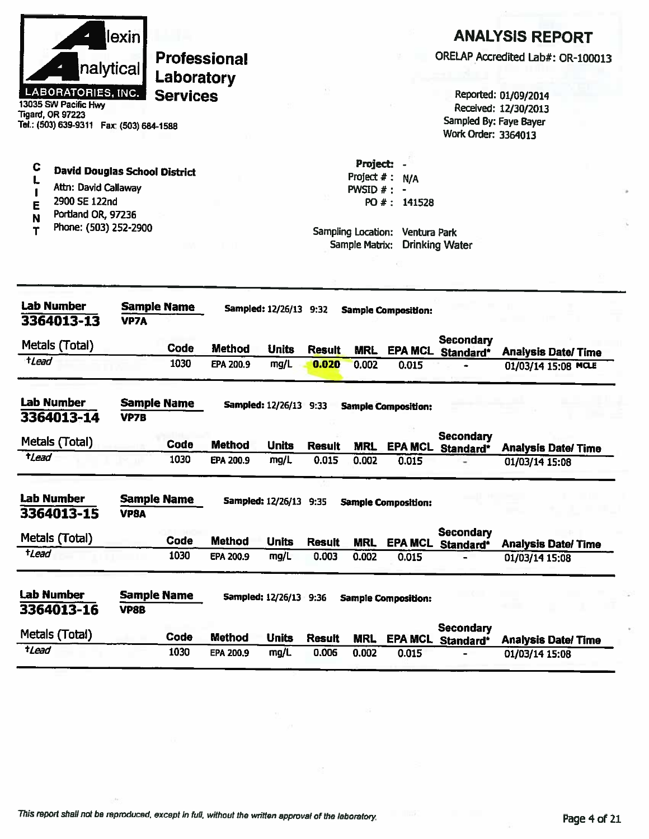|                     | nalytical<br><b>LABORATORIES, INC.</b><br>13035 SW Pacific Hwy<br><b>Tigard, OR 97223</b><br>Tel.: (503) 639-9311  Fax: (503) 684-1588 | lexin       | <b>Professional</b><br>Laboratory<br><b>Services</b> |               |                               |               |                                                                               |                                     | Sampled By: Faye Bayer<br>Work Order: 3364013 | <b>ANALYSIS REPORT</b><br>ORELAP Accredited Lab#: OR-100013<br>Reported: 01/09/2014<br>Received: 12/30/2013 |
|---------------------|----------------------------------------------------------------------------------------------------------------------------------------|-------------|------------------------------------------------------|---------------|-------------------------------|---------------|-------------------------------------------------------------------------------|-------------------------------------|-----------------------------------------------|-------------------------------------------------------------------------------------------------------------|
| с<br>E<br>N<br>т    | <b>David Douglas School District</b><br>Attn: David Callaway<br>2900 SE 122nd<br>Portland OR, 97236<br>Phone: (503) 252-2900           |             |                                                      |               |                               |               | Project:<br>Project $#$ :<br>PWSID #:<br>Sampling Location:<br>Sample Matrix: | N/A<br>PO #: 141528<br>Ventura Park | <b>Drinking Water</b>                         |                                                                                                             |
|                     | <b>Lab Number</b><br>3364013-13                                                                                                        | <b>VP7A</b> | <b>Sample Name</b>                                   |               | Sampled: 12/26/13 9:32        |               |                                                                               | <b>Sample Composition:</b>          |                                               |                                                                                                             |
|                     | Metals (Total)                                                                                                                         |             | Code                                                 | Method        | <b>Units</b>                  | <b>Result</b> | <b>MRL</b>                                                                    |                                     | <b>Secondary</b><br><b>EPA MCL Standard*</b>  | <b>Analysis Date/Time</b>                                                                                   |
| tLead               |                                                                                                                                        |             | 1030                                                 | EPA 200.9     | mg/L                          | 0.020         | 0.002                                                                         | 0.015                               |                                               | 01/03/14 15:08 MCLE                                                                                         |
|                     | <b>Lab Number</b><br>3364013-14                                                                                                        | <b>VP7B</b> | <b>Sample Name</b>                                   |               | Sampled: 12/26/13 9:33        |               |                                                                               | <b>Sample Composition:</b>          |                                               |                                                                                                             |
|                     | Metals (Total)                                                                                                                         |             | Code                                                 | <b>Method</b> | Units                         | <b>Result</b> | <b>MRL</b>                                                                    | <b>EPA MCL</b>                      | <b>Secondary</b>                              |                                                                                                             |
| <i><b>tLead</b></i> |                                                                                                                                        |             | 1030                                                 | EPA 200.9     | mg/L                          | 0.015         | 0.002                                                                         | 0.015                               | Standard*                                     | <b>Analysis Date/Time</b><br>01/03/14 15:08                                                                 |
|                     | <b>Lab Number</b><br>3364013-15                                                                                                        | <b>VP8A</b> | <b>Sample Name</b>                                   |               | Sampled: 12/26/13 9:35        |               |                                                                               | <b>Sample Composition:</b>          |                                               |                                                                                                             |
|                     | Metals (Total)                                                                                                                         |             | Code                                                 | <b>Method</b> | <b>Units</b>                  | <b>Result</b> | <b>MRL</b>                                                                    |                                     | <b>Secondary</b><br>EPA MCL Standard*         | <b>Analysis Date/Time</b>                                                                                   |
| $t$ <i>Lead</i>     |                                                                                                                                        |             | 1030                                                 | EPA 200.9     | mg/L                          | 0.003         | 0.002                                                                         | 0.015                               |                                               | 01/03/14 15:08                                                                                              |
|                     | <b>Lab Number</b><br>3364013-16                                                                                                        | VP8B        | <b>Sample Name</b>                                   |               | <b>Sampled: 12/26/13 9:36</b> |               |                                                                               | <b>Sample Composition:</b>          |                                               |                                                                                                             |
|                     | Metals (Total)                                                                                                                         |             | Code                                                 | <b>Method</b> | <b>Units</b>                  | <b>Result</b> | <b>MRL</b>                                                                    |                                     | <b>Secondary</b><br>EPA MCL Standard*         | <b>Analysis Date/ Time</b>                                                                                  |
| tLead               |                                                                                                                                        |             | 1030                                                 | EPA 200.9     | mg/L                          | 0.006         | 0.002                                                                         | 0.015                               |                                               | 01/03/14 15:08                                                                                              |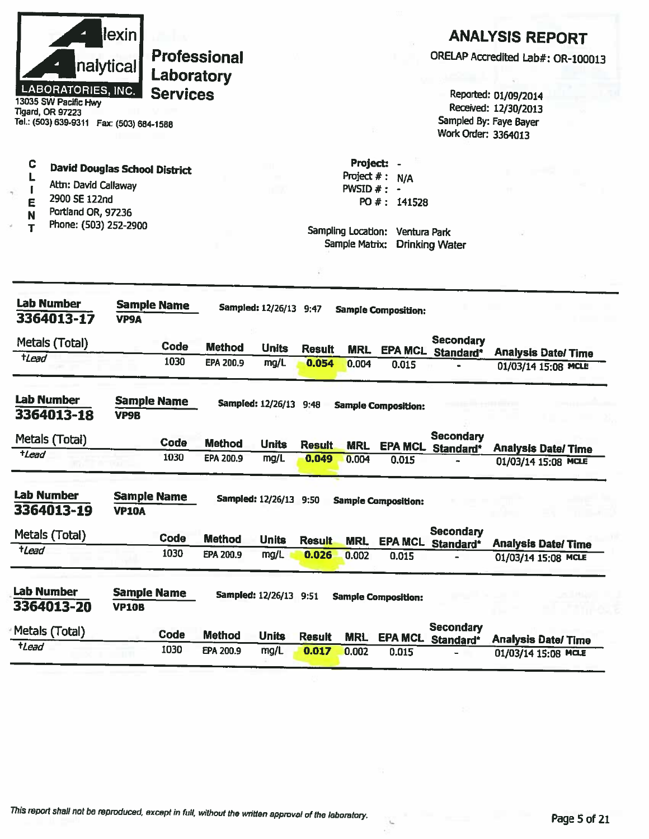| llexinl                   | <b>Professional</b> |
|---------------------------|---------------------|
| nalytical                 | Laboratory          |
| <b>LABORATORIES, INC.</b> | <b>Services</b>     |
| 13035 SW Pacific Hwy      |                     |

**Tigard, OR 97223** Tel.: (503) 639-9311 Fax: (503) 684-1588

Attn: David Callaway

2900 SE 122nd

**David Douglas School District** 

C

L

 $\mathbf{I}$ 

## **ANALYSIS REPORT**

ORELAP Accredited Lab#: OR-100013

Reported: 01/09/2014 Received: 12/30/2013 Sampled By: Faye Bayer Work Order: 3364013

| 2900 SE 122nd<br>E<br>Portland OR, 97236<br>N<br>Phone: (503) 252-2900<br>T |                                    |                    |               |                        |               | Sampling Location:<br>Sample Matrix: | PO #: 141528<br>Ventura Park | <b>Drinking Water</b>                 |                     |                                                   |
|-----------------------------------------------------------------------------|------------------------------------|--------------------|---------------|------------------------|---------------|--------------------------------------|------------------------------|---------------------------------------|---------------------|---------------------------------------------------|
|                                                                             |                                    |                    |               |                        |               |                                      |                              |                                       |                     |                                                   |
| <b>Lab Number</b><br>3364013-17                                             | VP9A                               | <b>Sample Name</b> |               | Sampled: 12/26/13 9:47 |               |                                      | <b>Sample Composition:</b>   |                                       |                     |                                                   |
| Metals (Total)                                                              |                                    | Code               | <b>Method</b> | <b>Units</b>           | <b>Result</b> | <b>MRL</b>                           | <b>EPA MCL</b>               | <b>Secondary</b><br>Standard*         |                     | <b>Analysis Date/ Time</b>                        |
| tLead                                                                       |                                    | 1030               | EPA 200.9     | mg/L                   | 0.054         | 0.004                                | 0.015                        |                                       |                     | 01/03/14 15:08 MCLE                               |
| <b>Lab Number</b><br>3364013-18                                             | <b>VP9B</b>                        | <b>Sample Name</b> |               | Sampled: 12/26/13 9:48 |               |                                      | <b>Sample Composition:</b>   |                                       |                     |                                                   |
| Metals (Total)                                                              |                                    | Code               | <b>Method</b> | <b>Units</b>           | <b>Result</b> | <b>MRL</b>                           |                              | <b>Secondary</b><br>EPA MCL Standard* |                     | <b>Analysis Date/Time</b>                         |
| $t$ <i>Lead</i>                                                             |                                    | 1030               | EPA 200.9     | mg/L                   | 0.049         | 0.004                                | 0.015                        |                                       |                     | 01/03/14 15:08 MCLE                               |
| <b>Lab Number</b><br>3364013-19                                             | <b>Sample Name</b><br><b>VP10A</b> |                    |               | Sampled: 12/26/13 9:50 |               |                                      | <b>Sample Composition:</b>   |                                       |                     |                                                   |
| Metals (Total)                                                              |                                    | Code               | <b>Method</b> | <b>Units</b>           | <b>Result</b> | <b>MRL</b>                           | <b>EPA MCL</b>               | <b>Secondary</b>                      |                     |                                                   |
| tLead                                                                       |                                    | 1030               | EPA 200,9     | mg/L                   | 0.026         | 0.002                                | 0.015                        | Standard*                             |                     | <b>Analysis Date/ Time</b><br>01/03/14 15:08 MCLE |
| <b>Lab Number</b><br>3364013-20                                             | <b>Sample Name</b><br><b>VP10B</b> |                    |               | Sampled: 12/26/13 9:51 |               |                                      | <b>Sample Composition:</b>   |                                       |                     |                                                   |
| Metals (Total)                                                              |                                    | Code               | <b>Method</b> | <b>Units</b>           | <b>Result</b> | <b>MRL</b>                           |                              | <b>Secondary</b><br>EPA MCL Standard* |                     |                                                   |
| $t$ <i>Lead</i>                                                             |                                    | 1030               | EPA 200.9     | mg/L                   | 0.017         | 0.002                                | 0.015                        |                                       | 01/03/14 15:08 MCLE | <b>Analysis Date/Time</b>                         |

Project: -

Project  $# : N/A$ 

PWSID  $#$  : -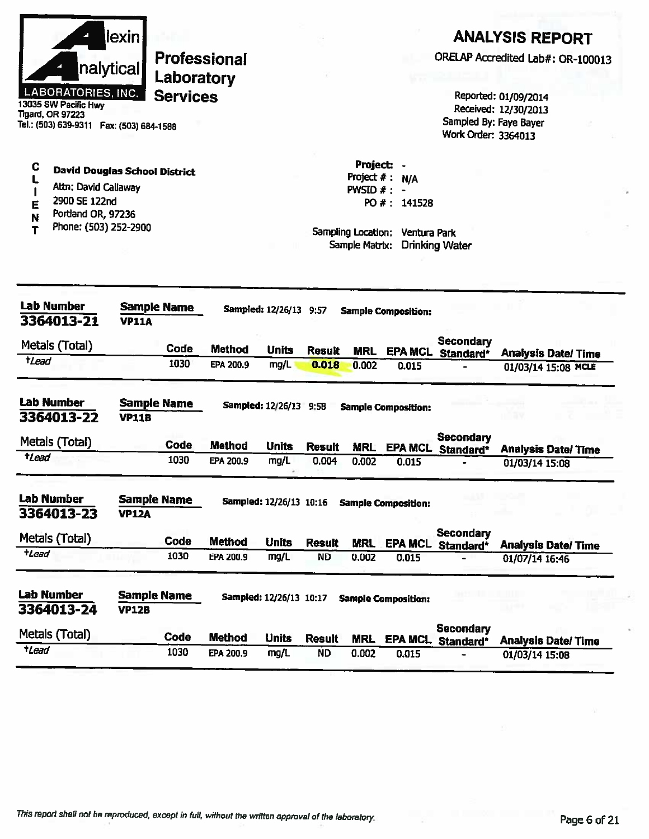| llexin l<br>nalytical                              | <b>Professional</b><br>Laboratory |
|----------------------------------------------------|-----------------------------------|
| <b>LABORATORIES, INC.</b>                          | <b>Services</b>                   |
| 13035 SW Pacific Hwy                               |                                   |
| Tigard, OR 97223                                   |                                   |
| Tel.: (503) 639-9311<br><b>Fav: /503) 684-1599</b> |                                   |

**David Douglas School District** 

Attn: David Callaway

Portland OR, 97236

Phone: (503) 252-2900

2900 SE 122nd

 $\mathbf C$ 

L

 $\mathbf{I}$ 

E

N

 $\mathbf T$ 

#### **ANALYSIS REPORT**

ORELAP Accredited Lab#: OR-100013

Reported: 01/09/2014 Received: 12/30/2013 Sampled By: Faye Bayer Work Order: 3364013

Project: -Project  $# : N/A$ PWSID  $#: -$ PO #: 141528

Sampling Location: Ventura Park Sample Matrix: Drinking Water

| <b>Lab Number</b><br>3364013-21 | <b>Sample Name</b><br><b>VP11A</b> |             |               | <b>Sampled: 12/26/13 9:57</b>  |               |            | <b>Sample Composition:</b> |                               |                           |
|---------------------------------|------------------------------------|-------------|---------------|--------------------------------|---------------|------------|----------------------------|-------------------------------|---------------------------|
| Metals (Total)                  |                                    | <b>Code</b> | <b>Method</b> | <b>Units</b>                   | <b>Result</b> | <b>MRL</b> | <b>EPA MCL</b>             | Secondary<br>Standard*        | <b>Analysis Date/Time</b> |
| $t$ Lead                        |                                    | 1030        | EPA 200.9     | mg/L                           | 0.018         | 0.002      | 0.015                      |                               | 01/03/14 15:08 MCLE       |
| <b>Lab Number</b><br>3364013-22 | <b>Sample Name</b><br><b>VP11B</b> |             |               | <b>Sampled: 12/26/13</b>       | 9.58          |            | <b>Sample Composition:</b> |                               |                           |
| Metals (Total)                  |                                    | <b>Code</b> | <b>Method</b> | <b>Units</b>                   | <b>Result</b> | <b>MRL</b> | <b>EPA MCL</b>             | <b>Secondary</b><br>Standard* | <b>Analysis Date/Time</b> |
| tLead                           |                                    | 1030        | EPA 200.9     | mg/L                           | 0.004         | 0.002      | 0.015                      |                               | 01/03/14 15:08            |
| <b>Lab Number</b><br>3364013-23 | <b>Sample Name</b><br><b>VP12A</b> |             |               | Sampled: 12/26/13 10:16        |               |            | <b>Sample Composition:</b> |                               |                           |
| Metals (Total)                  |                                    | Code        | <b>Method</b> | <b>Units</b>                   | <b>Result</b> | <b>MRL</b> | <b>EPA MCL</b>             | <b>Secondary</b><br>Standard* | <b>Analysis Date/Time</b> |
| <b>tLead</b>                    |                                    | 1030        | EPA 200.9     | mg/L                           | <b>ND</b>     | 0.002      | 0.015                      |                               | 01/07/14 16:46            |
| Lab Number<br>3364013-24        | <b>Sample Name</b><br><b>VP12B</b> |             |               | <b>Sampled: 12/26/13 10:17</b> |               |            | <b>Sample Composition:</b> |                               |                           |
| Metais (Total)                  |                                    | Code        | <b>Method</b> | <b>Units</b>                   | <b>Result</b> | <b>MRL</b> | <b>EPA MCL</b>             | <b>Secondary</b><br>Standard* | <b>Analysis Date/Time</b> |
| <b>tLead</b>                    |                                    | 1030        | EPA 200.9     | mg/L                           | <b>ND</b>     | 0.002      | 0.015                      |                               | 01/03/14 15:08            |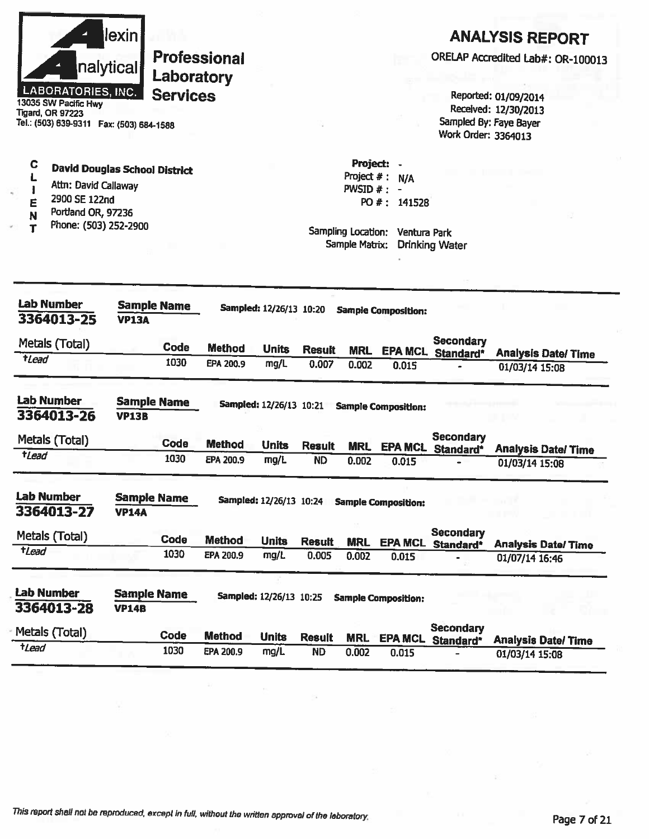|                                                                                                                               | lexin                              |                    |                     |                         |               |                    |                                             |                                       | <b>ANALYSIS REPORT</b>                      |  |
|-------------------------------------------------------------------------------------------------------------------------------|------------------------------------|--------------------|---------------------|-------------------------|---------------|--------------------|---------------------------------------------|---------------------------------------|---------------------------------------------|--|
|                                                                                                                               |                                    |                    | <b>Professional</b> |                         |               |                    |                                             |                                       | ORELAP Accredited Lab#: OR-100013           |  |
|                                                                                                                               | nalytical                          | Laboratory         |                     |                         |               |                    |                                             |                                       |                                             |  |
| <b>LABORATORIES, INC.</b><br>13035 SW Pacific Hwy                                                                             |                                    | <b>Services</b>    |                     |                         |               |                    |                                             |                                       | Reported: 01/09/2014                        |  |
| <b>Tigard, OR 97223</b>                                                                                                       |                                    |                    |                     |                         |               |                    |                                             |                                       | Received: 12/30/2013                        |  |
| Tel.: (503) 639-9311  Fax: (503) 684-1588                                                                                     |                                    |                    |                     |                         |               |                    |                                             | Work Order: 3364013                   | Sampled By: Faye Bayer                      |  |
| C                                                                                                                             |                                    |                    |                     |                         |               | Project:           |                                             |                                       |                                             |  |
| <b>David Douglas School District</b>                                                                                          |                                    |                    |                     |                         |               | Project $#$ :      | N/A                                         |                                       |                                             |  |
| Attn: David Callaway<br>2900 SE 122nd                                                                                         |                                    |                    |                     |                         |               | PWSID $#$ : -      |                                             |                                       |                                             |  |
| E<br>Portland OR, 97236<br>N                                                                                                  |                                    |                    |                     |                         |               |                    | PO #: 141528                                |                                       |                                             |  |
| Phone: (503) 252-2900<br>т                                                                                                    |                                    |                    |                     |                         |               | Sampling Location: | <b>Ventura Park</b>                         |                                       |                                             |  |
|                                                                                                                               |                                    |                    |                     |                         |               | Sample Matrix:     |                                             | <b>Drinking Water</b>                 |                                             |  |
|                                                                                                                               |                                    |                    |                     |                         |               |                    |                                             |                                       |                                             |  |
|                                                                                                                               |                                    |                    |                     |                         |               |                    |                                             |                                       |                                             |  |
|                                                                                                                               |                                    |                    |                     |                         |               |                    |                                             |                                       |                                             |  |
|                                                                                                                               |                                    | <b>Sample Name</b> |                     | Sampled: 12/26/13 10:20 |               |                    | <b>Sample Composition:</b>                  |                                       |                                             |  |
| <b>Lab Number</b><br>3364013-25                                                                                               | <b>VP13A</b>                       |                    |                     |                         |               |                    |                                             |                                       |                                             |  |
|                                                                                                                               |                                    | <b>Code</b>        | <b>Method</b>       | <b>Units</b>            | <b>Result</b> | <b>MRL</b>         | <b>EPA MCL</b>                              | Secondary                             |                                             |  |
| $t$ <i>Lead</i>                                                                                                               |                                    | 1030               | EPA 200.9           | mg/L                    | 0.007         | 0.002              | 0.015                                       | Standard*                             | <b>Analysis Date/Time</b><br>01/03/14 15:08 |  |
| Metals (Total)                                                                                                                |                                    |                    |                     |                         |               |                    |                                             |                                       |                                             |  |
|                                                                                                                               | <b>VP13B</b>                       | <b>Sample Name</b> |                     | Sampled: 12/26/13 10:21 |               |                    | <b>Sample Composition:</b>                  |                                       |                                             |  |
|                                                                                                                               |                                    |                    |                     |                         |               |                    |                                             | Secondary                             |                                             |  |
| tLead                                                                                                                         |                                    | <b>Code</b>        | <b>Method</b>       | <b>Units</b>            | <b>Result</b> | <b>MRL</b>         |                                             | EPA MCL Standard*                     | <b>Analysis Date/Time</b>                   |  |
|                                                                                                                               |                                    | 1030               | EPA 200.9           | mg/L                    | <b>ND</b>     | 0.002              | 0.015                                       |                                       | 01/03/14 15:08                              |  |
|                                                                                                                               | <b>Sample Name</b>                 |                    |                     |                         |               |                    |                                             |                                       |                                             |  |
|                                                                                                                               | <b>VP14A</b>                       |                    |                     |                         |               |                    | Sampled: 12/26/13 10:24 Sample Composition: |                                       |                                             |  |
|                                                                                                                               |                                    |                    |                     |                         |               |                    |                                             | <b>Secondary</b>                      |                                             |  |
|                                                                                                                               |                                    | Code               | <b>Method</b>       | <b>Units</b>            | <b>Result</b> | <b>MRL</b>         | <b>EPA MCL</b>                              | Standard*                             | <b>Analysis Date/Time</b>                   |  |
|                                                                                                                               |                                    | 1030               | EPA 200.9           | mg/L                    | 0.005         | 0.002              | 0.015                                       |                                       | 01/07/14 16:46                              |  |
| Lab Number<br>3364013-26<br>Metals (Total)<br><b>Lab Number</b><br>3364013-27<br>Metals (Total)<br>tLead<br><b>Lab Number</b> |                                    |                    |                     |                         |               |                    |                                             |                                       |                                             |  |
|                                                                                                                               | <b>Sample Name</b><br><b>VP14B</b> |                    |                     | Sampled: 12/26/13 10:25 |               |                    | <b>Sample Composition:</b>                  |                                       |                                             |  |
| 3364013-28<br>Metals (Total)                                                                                                  |                                    | Code               | <b>Method</b>       | <b>Units</b>            | <b>Result</b> | <b>MRL</b>         |                                             | <b>Secondary</b><br>EPA MCL Standard* | <b>Analysis Date/Time</b>                   |  |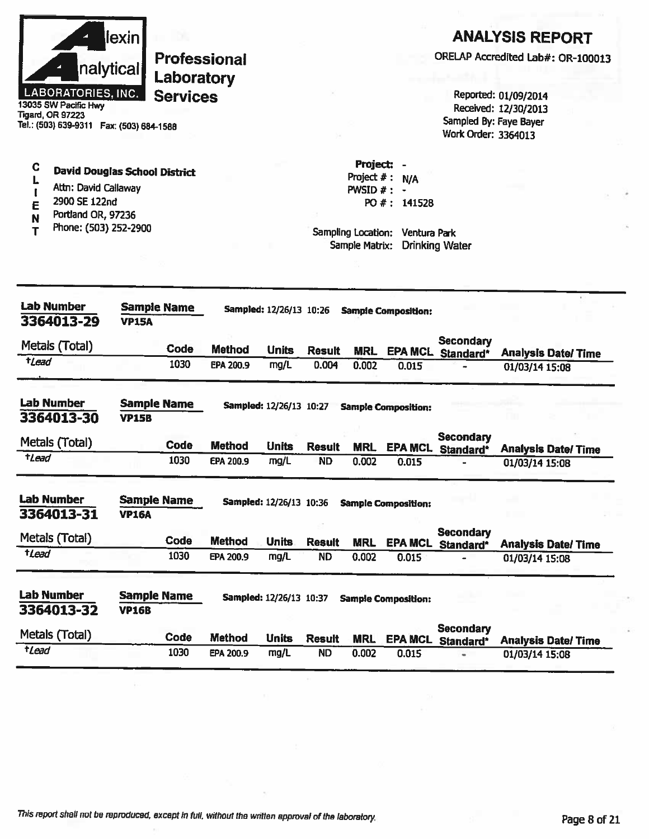| llexinl                   |
|---------------------------|
| nalytical                 |
| <b>LABORATORIES. INC.</b> |

13035 SW Pacific Hwy **Tigard, OR 97223** Tel.: (503) 639-9311 Fax: (503) 684-1588

#### $\ddot{\mathbf{C}}$ **David Douglas School District** L

- Attn: David Callaway  $\mathbf{I}$
- 2900 SE 122nd E
- Portland OR, 97236 N
- Phone: (503) 252-2900 T

## **ANALYSIS REPORT**

ORELAP Accredited Lab#: OR-100013

Reported: 01/09/2014 Received: 12/30/2013 Sampled By: Faye Bayer Work Order: 3364013

Project  $# : N/A$ PWSID  $#$  : -PO #: 141528

Project: -

| <b>Lab Number</b><br>3364013-29 | <b>VP15A</b>                       | Sample Name |               | Sampled: 12/26/13 10:26 |               |            | <b>Sample Composition:</b> |                               |                           |
|---------------------------------|------------------------------------|-------------|---------------|-------------------------|---------------|------------|----------------------------|-------------------------------|---------------------------|
| Metals (Total)                  |                                    | Code        | <b>Method</b> | <b>Units</b>            | <b>Result</b> | MRL        | <b>EPA MCL</b>             | Secondary<br>Standard*        | <b>Analysis Date/Time</b> |
| <b>t</b> Lead                   |                                    | 1030        | EPA 200.9     | mg/L                    | 0.004         | 0.002      | 0.015                      |                               | 01/03/14 15:08            |
| <b>Lab Number</b><br>3364013-30 | <b>Sample Name</b><br><b>VP15B</b> |             |               | Sampled: 12/26/13 10:27 |               |            | <b>Sample Composition:</b> |                               |                           |
| Metals (Total)                  |                                    | Code        | <b>Method</b> | <b>Units</b>            | <b>Result</b> | <b>MRL</b> | <b>EPA MCL</b>             | <b>Secondary</b><br>Standard* | <b>Analysis Date/Time</b> |
| <b>tlead</b>                    |                                    | 1030        | EPA 200.9     | mg/L                    | <b>ND</b>     | 0.002      | 0.015                      |                               | 01/03/14 15:08            |
| <b>Lab Number</b>               | <b>Sample Name</b>                 |             |               | Sampled: 12/26/13 10:36 |               |            | <b>Sample Composition:</b> |                               |                           |
| 3364013-31<br>Metals (Total)    | <b>VP16A</b>                       | Code        | <b>Method</b> | <b>Units</b>            | <b>Result</b> | <b>MRL</b> | <b>EPA MCL</b>             | <b>Secondary</b><br>Standard* | <b>Analysis Date/Time</b> |
| tLead                           |                                    | 1030        | EPA 200.9     | mg/L                    | <b>ND</b>     | 0.002      | 0.015                      |                               | 01/03/14 15:08            |
| <b>Lab Number</b><br>3364013-32 | <b>Sample Name</b><br><b>VP16B</b> |             |               | Sampled: 12/26/13 10:37 |               |            | <b>Sample Composition:</b> |                               |                           |
| Metals (Total)                  |                                    | Code        | <b>Method</b> | <b>Units</b>            | <b>Result</b> | <b>MRL</b> | <b>EPA MCL</b>             | <b>Secondary</b><br>Standard* | <b>Analysis Date/Time</b> |
|                                 |                                    |             |               |                         |               |            |                            |                               |                           |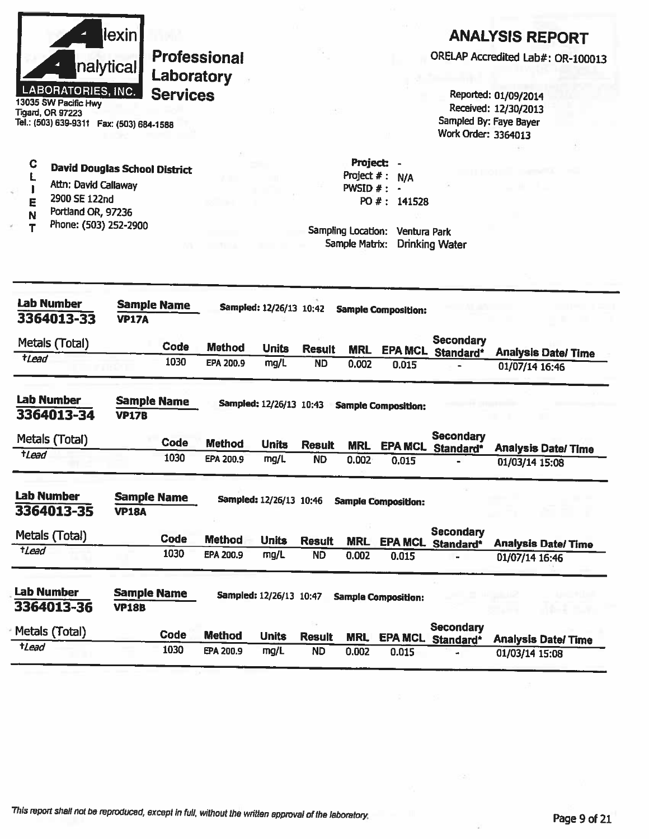|                                                 | <u>lexin</u>       |                    |                            |                         |                            |                     |                                |                       | <b>ANALYSIS REPORT</b>                       |
|-------------------------------------------------|--------------------|--------------------|----------------------------|-------------------------|----------------------------|---------------------|--------------------------------|-----------------------|----------------------------------------------|
|                                                 |                    |                    | Professional               |                         |                            |                     |                                |                       | ORELAP Accredited Lab#: OR-100013            |
|                                                 | nalytical          | Laboratory         |                            |                         |                            |                     |                                |                       |                                              |
| <b>LABORATORIES, INC.</b>                       |                    | <b>Services</b>    |                            |                         |                            |                     |                                |                       | Reported: 01/09/2014                         |
| 13035 SW Pacific Hwy<br><b>Tigard, OR 97223</b> |                    |                    |                            |                         |                            |                     |                                |                       | Received: 12/30/2013                         |
| Tel.: (503) 639-9311  Fax: (503) 684-1588       |                    |                    |                            |                         |                            |                     |                                | Work Order: 3364013   | Sampled By: Faye Bayer                       |
|                                                 |                    |                    |                            |                         |                            |                     |                                |                       |                                              |
| C<br><b>David Douglas School District</b>       |                    |                    |                            |                         |                            |                     | Project: -<br>Project $#: N/A$ |                       |                                              |
| Attn: David Callaway                            |                    |                    |                            |                         |                            | PWSID $#: -$        |                                |                       |                                              |
| 2900 SE 122nd<br>E<br>Portland OR, 97236        |                    |                    |                            |                         |                            |                     | PO #: 141528                   |                       |                                              |
| N<br>Phone: (503) 252-2900<br>т                 |                    |                    |                            |                         |                            | Sampling Location:  | Ventura Park                   |                       |                                              |
|                                                 |                    |                    |                            |                         |                            | Sample Matrix:      |                                | <b>Drinking Water</b> |                                              |
|                                                 |                    |                    |                            |                         |                            |                     |                                |                       |                                              |
|                                                 |                    |                    |                            |                         |                            |                     |                                |                       |                                              |
| <b>Lab Number</b>                               |                    | <b>Sample Name</b> |                            | Sampled: 12/26/13 10:42 |                            |                     | <b>Sample Composition:</b>     |                       |                                              |
| 3364013-33                                      | <b>VP17A</b>       |                    |                            |                         |                            |                     |                                |                       |                                              |
| Metals (Total)                                  |                    | Code               | <b>Method</b>              | <b>Units</b>            | <b>Result</b>              |                     |                                | <b>Secondary</b>      |                                              |
| <i><b>tLead</b></i>                             |                    | 1030               | EPA 200.9                  | mg/L                    | <b>ND</b>                  | <b>MRL</b><br>0.002 | 0.015                          | EPA MCL Standard*     | <b>Analysis Date/Time</b><br>01/07/14 16:46  |
|                                                 |                    |                    |                            |                         |                            |                     |                                |                       |                                              |
| <b>Lab Number</b>                               | <b>Sample Name</b> |                    |                            | Sampled: 12/26/13 10:43 |                            |                     | <b>Sample Composition:</b>     |                       |                                              |
| 3364013-34                                      | <b>VP17B</b>       |                    |                            |                         |                            |                     |                                |                       |                                              |
| Metals (Total)                                  |                    | <b>Code</b>        | <b>Method</b>              | <b>Units</b>            | <b>Result</b>              |                     |                                | <b>Secondary</b>      |                                              |
| <i><b>tLead</b></i>                             |                    | 1030               | EPA 200.9                  | mg/L                    | <b>ND</b>                  | <b>MRL</b><br>0.002 | <b>EPA MCL</b><br>0.015        | Standard*             | <b>Analysis Date/ Time</b><br>01/03/14 15:08 |
|                                                 |                    |                    |                            |                         |                            |                     |                                |                       |                                              |
| <b>Lab Number</b>                               | <b>Sample Name</b> |                    |                            | Sampled: 12/26/13 10:46 |                            |                     | <b>Sample Composition:</b>     |                       |                                              |
| 3364013-35                                      | <b>VP18A</b>       |                    |                            |                         |                            |                     |                                |                       |                                              |
| Metals (Total)                                  |                    | <b>Code</b>        |                            |                         |                            |                     |                                | <b>Secondary</b>      |                                              |
| $t$ <i>Lead</i>                                 |                    | 1030               | <b>Method</b><br>EPA 200.9 | <b>Units</b><br>mg/L    | <b>Result</b><br><b>ND</b> | <b>MRL</b><br>0.002 | 0.015                          | EPA MCL Standard*     | <b>Analysis Date/Time</b>                    |
|                                                 |                    |                    |                            |                         |                            |                     |                                |                       | 01/07/14 16:46                               |
| <b>Lab Number</b>                               | <b>Sample Name</b> |                    |                            | Sampled: 12/26/13 10:47 |                            |                     |                                |                       |                                              |
| 3364013-36                                      | <b>VP18B</b>       |                    |                            |                         |                            |                     | <b>Sample Composition:</b>     |                       |                                              |
| Metals (Total)                                  |                    | Code               |                            |                         |                            |                     |                                | <b>Secondary</b>      |                                              |
| $t$ <i>Lead</i>                                 |                    | 1030               | <b>Method</b><br>EPA 200.9 | <b>Units</b><br>mg/L    | <b>Result</b><br><b>ND</b> | <b>MRL</b><br>0.002 | <b>EPA MCL</b><br>0.015        | Standard*             | <b>Analysis Date/ Time</b>                   |
|                                                 |                    |                    |                            |                         |                            |                     |                                |                       | 01/03/14 15:08                               |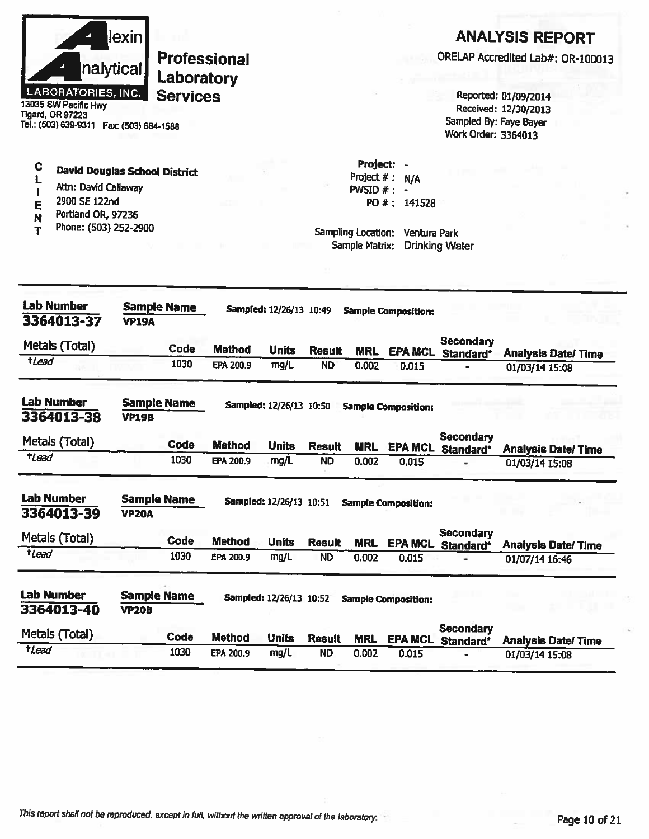| llexinl                   |
|---------------------------|
| nalytical                 |
| <b>LABORATORIES, INC.</b> |

 $\mathbf C$ 

 $\mathbf{L}$ 

 $\mathbf{I}$ 

E

N

T

Professional Laboratory **Services** 

13035 SW Pacific Hwy **Tigard, OR 97223** Tel.: (503) 639-9311 Fax: (503) 684-1588

Attn: David Callaway

Portland OR, 97236

Phone: (503) 252-2900

2900 SE 122nd

**David Douglas School District** 

## **ANALYSIS REPORT**

ORELAP Accredited Lab#: OR-100013

Reported: 01/09/2014 Received: 12/30/2013 Sampled By: Faye Bayer Work Order: 3364013

Project: -Project  $# : N/A$ PWSID  $# : -$ PO #: 141528

| <b>Lab Number</b><br>3364013-37 | <b>Sample Name</b><br><b>VP19A</b> |      |               | Sampled: 12/26/13 10:49 |               |            | <b>Sample Composition:</b> |                               |                |                           |
|---------------------------------|------------------------------------|------|---------------|-------------------------|---------------|------------|----------------------------|-------------------------------|----------------|---------------------------|
| Metals (Total)                  |                                    | Code | <b>Method</b> | <b>Units</b>            | <b>Result</b> | <b>MRL</b> | <b>EPA MCL</b>             | <b>Secondary</b><br>Standard* |                | <b>Analysis Date/Time</b> |
| <b>tLead</b>                    |                                    | 1030 | EPA 200.9     | mg/L                    | <b>ND</b>     | 0.002      | 0.015                      |                               | 01/03/14 15:08 |                           |
| <b>Lab Number</b><br>3364013-38 | Sample Name<br><b>VP19B</b>        |      |               | Sampled: 12/26/13 10:50 |               |            | <b>Sample Composition:</b> |                               |                |                           |
| Metals (Total)                  |                                    | Code | <b>Method</b> | <b>Units</b>            | <b>Result</b> | <b>MRL</b> | <b>EPA MCL</b>             | <b>Secondary</b><br>Standard* |                | <b>Analysis Date/Time</b> |
| <i><b>+Lead</b></i>             |                                    | 1030 | EPA 200.9     | mg/L                    | <b>ND</b>     | 0.002      | 0.015                      | -                             | 01/03/14 15:08 |                           |
| <b>Lab Number</b><br>3364013-39 | <b>Sample Name</b><br><b>VP20A</b> |      |               | Sampled: 12/26/13 10:51 |               |            | <b>Sample Composition:</b> |                               |                |                           |
| Metals (Total)                  |                                    | Code | <b>Method</b> | <b>Units</b>            | <b>Result</b> | <b>MRL</b> | <b>EPA MCL</b>             | Secondary<br>Standard*        |                | <b>Analysis Date/Time</b> |
| $t$ Lead                        |                                    | 1030 | EPA 200.9     | mg/L                    | <b>ND</b>     | 0.002      | 0.015                      |                               | 01/07/14 16:46 |                           |
| <b>Lab Number</b><br>3364013-40 | <b>Sample Name</b><br><b>VP20B</b> |      |               | Sampled: 12/26/13 10:52 |               |            | <b>Sample Composition:</b> |                               |                |                           |
| Metals (Total)                  |                                    | Code | <b>Method</b> | <b>Units</b>            | <b>Result</b> | <b>MRL</b> | <b>EPA MCL</b>             | <b>Secondary</b><br>Standard* |                | <b>Analysis Date/Time</b> |
| tLead                           |                                    | 1030 | EPA 200.9     | mg/L                    | <b>ND</b>     | 0.002      | 0.015                      |                               | 01/03/14 15:08 |                           |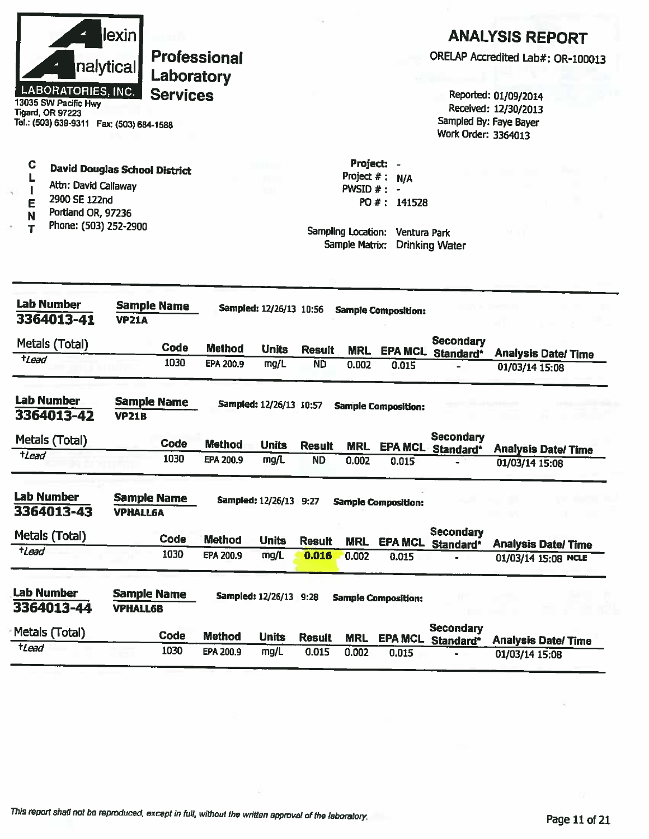|                           | llexin    |
|---------------------------|-----------|
|                           | nalytical |
| <b>LABORATORIES, INC.</b> |           |

Ċ

L

 $\mathbf{I}$ 

E

N

 $\mathbf T$ 

Professional Laboratory **Services** 

cific **Tigard, OR 97223** Tel.: (503) 639-9311 Fax: (503) 684-1588

Attn: David Callaway

Portland OR, 97236

Phone: (503) 252-2900

2900 SE 122nd

**David Douglas School District** 

## **ANALYSIS REPORT**

ORELAP Accredited Lab#: OR-100013

Reported: 01/09/2014 Received: 12/30/2013 Sampled By: Faye Bayer Work Order: 3364013

Project  $# : N/A$ PWSID  $#$  :  $-$ PO #: 141528

Project: -

| <b>Lab Number</b><br>3364013-41 | <b>Sample Name</b><br><b>VP21A</b>    |               | Sampled: 12/26/13 10:56  |               |            | <b>Sample Composition:</b> |                               |                           |
|---------------------------------|---------------------------------------|---------------|--------------------------|---------------|------------|----------------------------|-------------------------------|---------------------------|
| Metals (Total)                  | <b>Code</b>                           | <b>Method</b> | <b>Units</b>             | <b>Result</b> | <b>MRL</b> | <b>EPA MCL</b>             | <b>Secondary</b><br>Standard* | <b>Analysis Date/Time</b> |
| <i><b>tLead</b></i>             | 1030                                  | EPA 200.9     | mg/L                     | <b>ND</b>     | 0.002      | 0.015                      |                               | 01/03/14 15:08            |
| Lab Number<br>3364013-42        | <b>Sample Name</b><br><b>VP21B</b>    |               | Sampled: 12/26/13 10:57  |               |            | <b>Sample Composition:</b> |                               |                           |
| Metals (Total)                  | Code                                  | <b>Method</b> | <b>Units</b>             | <b>Result</b> | <b>MRL</b> | <b>EPA MCL</b>             | Secondary<br>Standard*        | <b>Analysis Date/Time</b> |
| $t$ <i>Lead</i>                 | 1030                                  | EPA 200.9     | mg/L                     | <b>ND</b>     | 0.002      | 0.015                      |                               | 01/03/14 15:08            |
| <b>Lab Number</b><br>3364013-43 | <b>Sample Name</b><br><b>VPHALL6A</b> |               | <b>Sampled: 12/26/13</b> | 9:27          |            | <b>Sample Composition:</b> |                               |                           |
| Metals (Total)                  | Code                                  | <b>Method</b> | <b>Units</b>             | <b>Result</b> | <b>MRL</b> | <b>EPA MCL</b>             | <b>Secondary</b><br>Standard* | <b>Analysis Date/Time</b> |
| tLead                           | 1030                                  | EPA 200.9     | mg/L                     | 0.016         | 0.002      | 0.015                      |                               | 01/03/14 15:08 MCLE       |
| <b>Lab Number</b><br>3364013-44 | <b>Sample Name</b><br><b>VPHALL6B</b> |               | Sampled: 12/26/13 9:28   |               |            | <b>Sample Composition:</b> |                               |                           |
| Metals (Total)                  | Code                                  | <b>Method</b> | <b>Units</b>             | <b>Result</b> | <b>MRL</b> | <b>EPA MCL</b>             | <b>Secondary</b><br>Standard* | <b>Analysis Date/Time</b> |
| tLead                           | 1030                                  | EPA 200.9     | mg/L                     | 0.015         | 0.002      | 0.015                      |                               | 01/03/14 15:08            |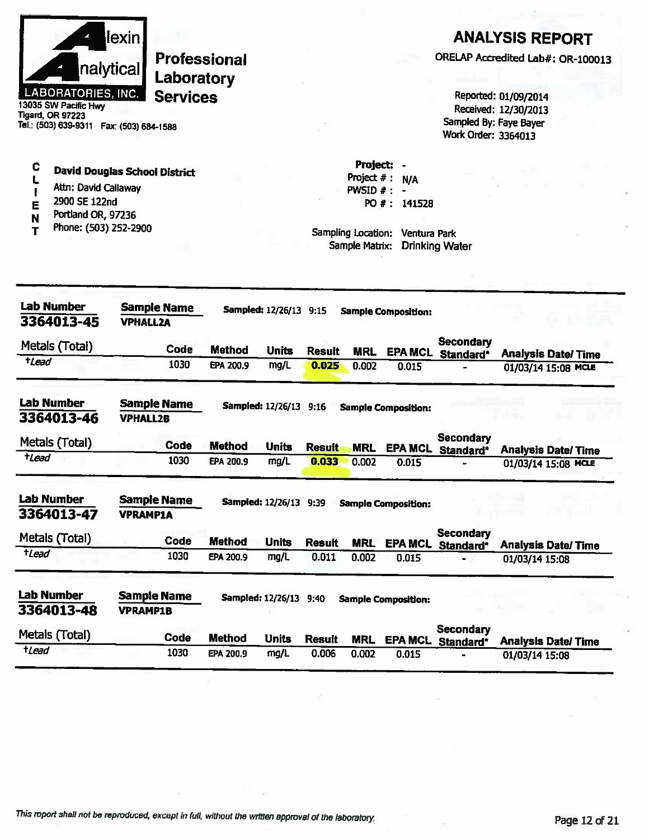|                     |                                                   | lexin                                     |                     |               |                               |               |                             |                            |                                       | <b>ANALYSIS REPORT</b>                       |
|---------------------|---------------------------------------------------|-------------------------------------------|---------------------|---------------|-------------------------------|---------------|-----------------------------|----------------------------|---------------------------------------|----------------------------------------------|
|                     |                                                   | nalytical                                 | <b>Professional</b> |               |                               |               |                             |                            |                                       | ORELAP Accredited Lab#: OR-100013            |
|                     |                                                   |                                           | Laboratory          |               |                               |               |                             |                            |                                       |                                              |
|                     | <b>LABORATORIES, INC.</b><br>13035 SW Pacific Hwy |                                           | <b>Services</b>     |               |                               |               |                             |                            |                                       | Reported: 01/09/2014<br>Received: 12/30/2013 |
|                     | <b>Tigard, OR 97223</b>                           | Tel.: (503) 639-9311  Fax: (503) 684-1588 |                     |               |                               |               |                             |                            | Work Order: 3364013                   | Sampled By: Faye Bayer                       |
|                     |                                                   |                                           |                     |               |                               |               |                             |                            |                                       |                                              |
| C                   |                                                   | <b>David Douglas School District</b>      |                     |               |                               |               | Project:                    |                            |                                       |                                              |
|                     | Attn: David Callaway                              |                                           |                     |               |                               |               | Project $#:$<br>PWSID $#$ : | N/A                        |                                       |                                              |
| E                   | 2900 SE 122nd<br>Portland OR, 97236               |                                           |                     |               |                               |               |                             | PO #: 141528               |                                       |                                              |
| N<br>т              | Phone: (503) 252-2900                             |                                           |                     |               |                               |               | Sampling Location:          | Ventura Park               |                                       |                                              |
|                     |                                                   |                                           |                     |               |                               |               | Sample Matrix:              |                            | <b>Drinking Water</b>                 |                                              |
|                     |                                                   |                                           |                     |               |                               |               |                             |                            |                                       |                                              |
|                     | <b>Lab Number</b>                                 | <b>Sample Name</b>                        |                     |               | Sampled: 12/26/13 9:15        |               |                             | <b>Sample Composition:</b> |                                       |                                              |
|                     | 3364013-45                                        | <b>VPHALL2A</b>                           |                     |               |                               |               |                             |                            |                                       |                                              |
|                     | Metals (Total)                                    |                                           | Code                | <b>Method</b> | <b>Units</b>                  | <b>Result</b> | <b>MRL</b>                  |                            | Secondary<br><b>EPA MCL Standard*</b> | <b>Analysis Date/Time</b>                    |
| <i><b>tlead</b></i> |                                                   |                                           | 1030                | EPA 200.9     | mg/L                          | 0.025         | 0.002                       | 0.015                      |                                       | 01/03/14 15:08 MCLE                          |
|                     | <b>Lab Number</b>                                 | <b>Sample Name</b>                        |                     |               | Sampled: 12/26/13 9:16        |               |                             |                            |                                       |                                              |
|                     | 3364013-46                                        | <b>VPHALL2B</b>                           |                     |               |                               |               |                             | <b>Sample Composition:</b> |                                       |                                              |
|                     | Metals (Total)                                    |                                           | Code                | <b>Method</b> | <b>Units</b>                  | <b>Result</b> | <b>MRL</b>                  | <b>EPA MCL</b>             | <b>Secondary</b><br>Standard*         | <b>Analysis Date/Time</b>                    |
| $t$ Lead            |                                                   |                                           | 1030                | EPA 200.9     | mg/L                          | 0.033         | 0.002                       | 0.015                      |                                       | 01/03/14 15:08 MCLE                          |
|                     | <b>Lab Number</b>                                 | <b>Sample Name</b>                        |                     |               |                               |               |                             |                            |                                       |                                              |
|                     | 3364013-47                                        | <b>VPRAMP1A</b>                           |                     |               | <b>Sampled: 12/26/13 9:39</b> |               |                             | <b>Sample Composition:</b> |                                       |                                              |
|                     | Metals (Total)                                    |                                           | Code                | <b>Method</b> | <b>Units</b>                  | <b>Result</b> | <b>MRL</b>                  |                            | <b>Secondary</b>                      |                                              |
| tLead               |                                                   |                                           | 1030                | EPA 200.9     | mg/L                          | 0.011         | 0.002                       | 0.015                      | <b>EPA MCL</b> Standard*              | <b>Analysis Date/Time</b><br>01/03/14 15:08  |
|                     |                                                   |                                           |                     |               |                               |               |                             |                            |                                       |                                              |
|                     |                                                   |                                           |                     |               |                               |               |                             |                            |                                       |                                              |
|                     | <b>Lab Number</b><br>3364013-48                   | <b>Sample Name</b><br><b>VPRAMP1B</b>     |                     |               | Sampled: 12/26/13 9:40        |               |                             | <b>Sample Composition:</b> |                                       |                                              |
|                     | Metals (Total)                                    |                                           | Code                | <b>Method</b> | <b>Units</b>                  | <b>Result</b> | <b>MRL</b>                  |                            | <b>Secondary</b><br>EPA MCL Standard* | <b>Analysis Date/Time</b>                    |

×

 $\bar{z}$ 

 $\pm 1$ 

 $\bar{\alpha}$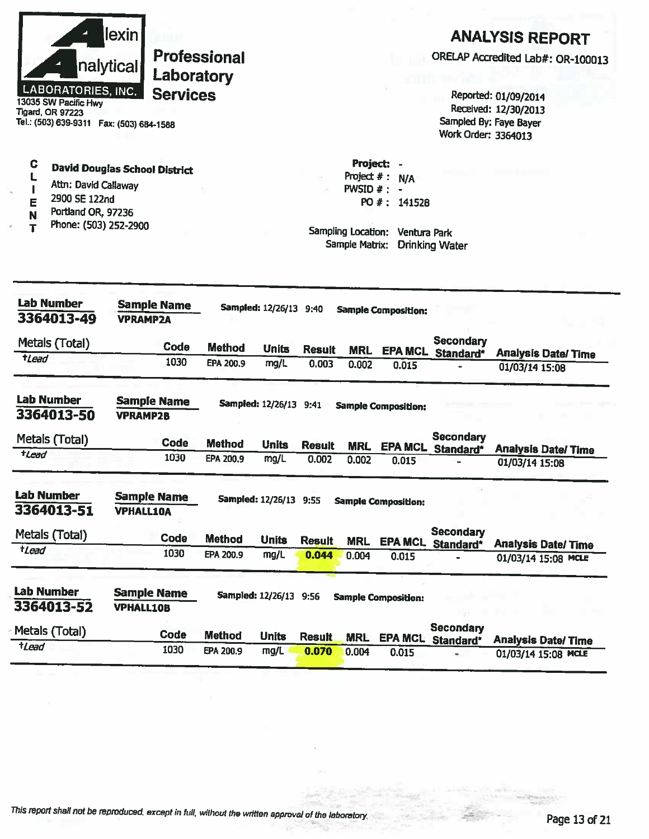|                     | LABORATORIES, INC.<br>13035 SW Pacific Hwy<br><b>Tigard, OR 97223</b>                | lexini<br>nalytical<br>Tel.: (503) 639-9311  Fax: (503) 684-1588 | <b>Professional</b><br>Laboratory<br><b>Services</b> |                        |                        |                                              |                                                                     | Work Order: 3364013                          | <b>ANALYSIS REPORT</b><br>ORELAP Accredited Lab#: OR-100013<br>Reported: 01/09/2014<br>Received: 12/30/2013<br>Sampled By: Faye Bayer |
|---------------------|--------------------------------------------------------------------------------------|------------------------------------------------------------------|------------------------------------------------------|------------------------|------------------------|----------------------------------------------|---------------------------------------------------------------------|----------------------------------------------|---------------------------------------------------------------------------------------------------------------------------------------|
| C<br>E<br>N<br>т    | Attn: David Callaway<br>2900 SE 122nd<br>Portland OR, 97236<br>Phone: (503) 252-2900 | <b>David Douglas School District</b>                             |                                                      |                        |                        | Project: -<br>PWSID $#: -$<br>Sample Matrix: | Project $#: N/A$<br>PO #: 141528<br>Sampling Location: Ventura Park | <b>Drinking Water</b>                        |                                                                                                                                       |
|                     | <b>Lab Number</b><br>3364013-49                                                      | <b>Sample Name</b><br><b>VPRAMP2A</b>                            |                                                      | Sampled: 12/26/13 9:40 |                        |                                              | <b>Sample Composition:</b>                                          |                                              |                                                                                                                                       |
|                     | Metals (Total)                                                                       | Code                                                             | <b>Method</b>                                        | <b>Units</b>           |                        |                                              |                                                                     | <b>Secondary</b>                             |                                                                                                                                       |
| <b>t</b> Lead       |                                                                                      | 1030                                                             | EPA 200.9                                            | mg/L                   | <b>Result</b><br>0.003 | <b>MRL</b><br>0.002                          | 0.015                                                               | EPA MCL Standard*                            | <b>Analysis Date/Time</b><br>01/03/14 15:08                                                                                           |
|                     | Lab Number<br>3364013-50                                                             | <b>Sample Name</b><br><b>VPRAMP2B</b>                            |                                                      | Sampled: 12/26/13 9:41 |                        |                                              | <b>Sample Composition:</b>                                          |                                              |                                                                                                                                       |
|                     | Metals (Total)                                                                       | <b>Code</b>                                                      | <b>Method</b>                                        | <b>Units</b>           | <b>Result</b>          | <b>MRL</b>                                   |                                                                     | <b>Secondary</b><br><b>EPA MCL</b> Standard* |                                                                                                                                       |
| <i><b>tLead</b></i> |                                                                                      | 1030                                                             | EPA 200.9                                            | mg/L                   | 0.002                  | 0.002                                        | 0.015                                                               |                                              | <b>Analysis Date/Time</b><br>01/03/14 15:08                                                                                           |
|                     | Lab Number<br>$3364013 - 51$                                                         | <b>Sample Name</b><br><b>VPHALL10A</b>                           |                                                      | Sampled: 12/26/13 9:55 |                        |                                              | <b>Sample Composition:</b>                                          |                                              |                                                                                                                                       |
|                     | Metals (Total)                                                                       | Code                                                             | <b>Method</b>                                        | <b>Units</b>           |                        |                                              |                                                                     | <b>Secondary</b>                             |                                                                                                                                       |
| tLead               |                                                                                      | 1030                                                             | EPA 200.9                                            | mg/L                   | <b>Result</b><br>0.044 | <b>MRL</b><br>0.004                          | 0.015                                                               | EPA MCL Standard*                            | <b>Analysis Date/Time</b><br>01/03/14 15:08 MCLE                                                                                      |
|                     | Lab Number<br>3364013-52                                                             | <b>Sample Name</b><br><b>VPHALL10B</b>                           |                                                      | Sampled: 12/26/13 9:56 |                        |                                              | <b>Sample Composition:</b>                                          |                                              |                                                                                                                                       |
|                     | Metals (Total)                                                                       | Code                                                             | <b>Method</b>                                        | <b>Units</b>           | <b>Result</b>          | <b>MRL</b>                                   | <b>EPA MCL</b>                                                      | <b>Secondary</b><br>Standard*                | <b>Analysis Date/Time</b>                                                                                                             |
| $t$ <i>Lead</i>     |                                                                                      | 1030                                                             | EPA 200.9                                            | mg/L                   | 0.070                  | 0.004                                        | 0.015                                                               | ۰                                            | 01/03/14 15:08 MCLE                                                                                                                   |
|                     |                                                                                      |                                                                  |                                                      |                        |                        |                                              |                                                                     |                                              |                                                                                                                                       |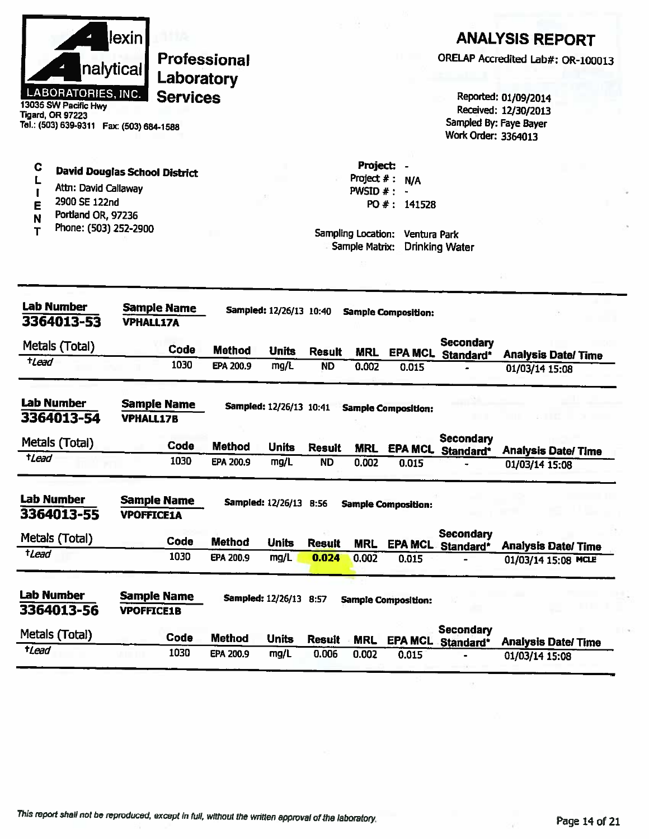|                                                   | llexin l  |
|---------------------------------------------------|-----------|
|                                                   | nalytical |
| <b>LABORATORIES, INC.</b><br>13035 SW Pacific Hwy |           |

## **ANALYSIS REPORT**

ORELAP Accredited Lab#: OR-100013

Reported: 01/09/2014 Received: 12/30/2013 Sampled By: Faye Bayer **Work Order: 3364013** 

**Tigard, OR 97223** Tel.: (503) 639-9311 Fax: (503) 684-1588

- $\mathbf C$ **David Douglas School District** L
- Attn: David Callaway  $\mathbf{I}$
- 2900 SE 122nd E
- Portland OR, 97236 Ń
- Phone: (503) 252-2900  $\mathbf T$

Project: -Project  $# : N/A$ PWSID  $# : -$ PO #: 141528

| <b>Lab Number</b><br>3364013-53 | <b>VPHALL17A</b>   | <b>Sample Name</b> |               | Sampled: 12/26/13 10:40  |               |            | <b>Sample Composition:</b> |                               |                           |
|---------------------------------|--------------------|--------------------|---------------|--------------------------|---------------|------------|----------------------------|-------------------------------|---------------------------|
| Metals (Total)                  |                    | Code               | <b>Method</b> | <b>Units</b>             | <b>Result</b> | <b>MRL</b> | <b>EPA MCL</b>             | <b>Secondary</b><br>Standard* | <b>Analysis Date/Time</b> |
| $t$ Lead                        |                    | 1030               | EPA 200.9     | mg/L                     | <b>ND</b>     | 0.002      | 0.015                      |                               | 01/03/14 15:08            |
| <b>Lab Number</b><br>3364013-54 | <b>VPHALL17B</b>   | <b>Sample Name</b> |               | Sampled: 12/26/13 10:41  |               |            | <b>Sample Composition:</b> |                               |                           |
| Metals (Total)                  |                    | Code               | Method        | <b>Units</b>             | <b>Result</b> | <b>MRL</b> | <b>EPA MCL</b>             | <b>Secondary</b><br>Standard* | <b>Analysis Date/Time</b> |
| tLead                           |                    | 1030               | EPA 200.9     | mg/L                     | <b>ND</b>     | 0.002      | 0.015                      |                               | 01/03/14 15:08            |
| Lab Number                      | <b>Sample Name</b> |                    |               | <b>Sampled: 12/26/13</b> | 8:56          |            | <b>Sample Composition:</b> |                               |                           |
| 3364013-55                      | <b>VPOFFICE1A</b>  |                    |               |                          |               |            |                            |                               |                           |
| Metals (Total)                  |                    | Code               | <b>Method</b> | <b>Units</b>             | <b>Result</b> | <b>MRL</b> | <b>EPA MCL</b>             | <b>Secondary</b><br>Standard* | <b>Analysis Date/Time</b> |
| tLead                           |                    | 1030               | EPA 200.9     | mg/L                     | 0.024         | 0.002      | 0.015                      |                               | 01/03/14 15:08 MCLE       |
| Lab Number                      | <b>Sample Name</b> |                    |               | <b>Sampled: 12/26/13</b> | 8:57          |            | <b>Sample Composition:</b> |                               |                           |
| 3364013-56                      | <b>VPOFFICE1B</b>  |                    |               |                          |               |            |                            |                               |                           |
| Metals (Total)                  |                    | Code               | <b>Method</b> | <b>Units</b>             | <b>Result</b> | <b>MRL</b> | <b>EPA MCL</b>             | Secondary<br>Standard*        | <b>Analysis Date/Time</b> |
| tLead                           |                    | 1030               | EPA 200.9     | mg/L                     | 0.006         | 0.002      | 0.015                      |                               | 01/03/14 15:08            |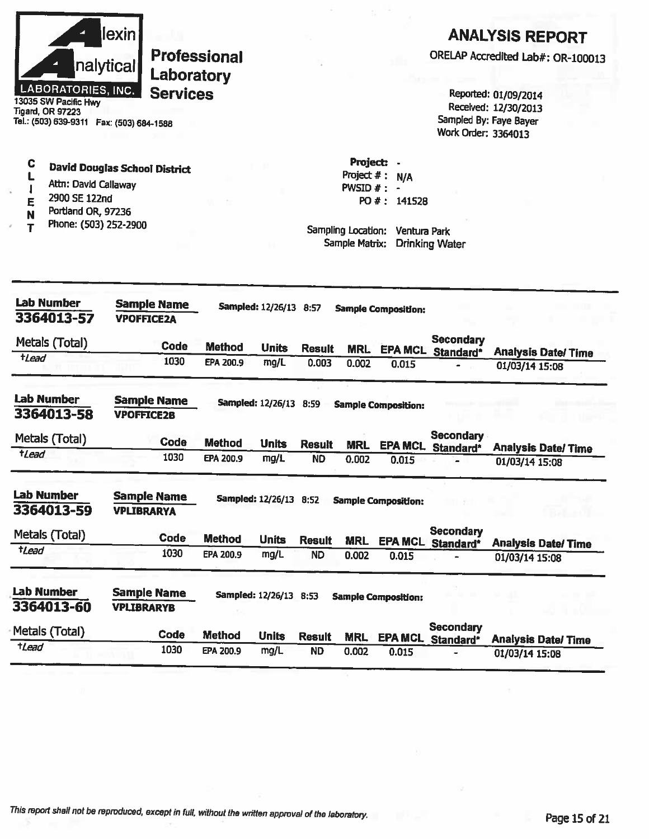

 $\mathbf C$ 

L

 $\overline{\mathbf{I}}$ 

E

N

 $\mathbf{r}$ 

**Professional** Laboratory **Services** 

13035 SW Pacific Hwy<br>Tigard, OR 97223 Tel.: (503) 639-9311 Fax: (503) 684-1588

Attn: David Callaway

Portland OR, 97236

Phone: (503) 252-2900

2900 SE 122nd

**David Douglas School District** 

## **ANALYSIS REPORT**

ORELAP Accredited Lab#: OR-100013

Reported: 01/09/2014 Received: 12/30/2013 Sampled By: Faye Bayer Work Order: 3364013

Project: -Project  $#: N/A$ PWSID  $#$  : -PO #: 141528

| <b>Lab Number</b><br>3364013-57 | <b>Sample Name</b><br><b>VPOFFICE2A</b> |               | Sampled: 12/26/13 8:57        |               |            | <b>Sample Composition:</b> |                               |                           |
|---------------------------------|-----------------------------------------|---------------|-------------------------------|---------------|------------|----------------------------|-------------------------------|---------------------------|
| Metals (Total)                  | Code                                    | <b>Method</b> | <b>Units</b>                  | <b>Result</b> | <b>MRL</b> | <b>EPA MCL</b>             | <b>Secondary</b><br>Standard* | <b>Analysis Date/Time</b> |
| tLead                           | 1030                                    | EPA 200.9     | mg/L                          | 0.003         | 0.002      | 0.015                      | -                             | 01/03/14 15:08            |
| <b>Lab Number</b><br>3364013-58 | <b>Sample Name</b><br><b>VPOFFICE2B</b> |               | <b>Sampled: 12/26/13</b>      | 8:59          |            | <b>Sample Composition:</b> |                               |                           |
| Metals (Total)                  | Code                                    | <b>Method</b> | <b>Units</b>                  | <b>Result</b> | <b>MRL</b> | <b>EPA MCL</b>             | <b>Secondary</b><br>Standard* | <b>Analysis Date/Time</b> |
| tLead                           | 1030                                    | EPA 200.9     | mg/L                          | <b>ND</b>     | 0.002      | 0.015                      |                               | 01/03/14 15:08            |
| <b>Lab Number</b><br>3364013-59 | <b>Sample Name</b><br><b>VPLIBRARYA</b> |               | <b>Sampled: 12/26/13</b>      | 8:52          |            | <b>Sample Composition:</b> |                               |                           |
| Metals (Total)                  | <b>Code</b>                             | <b>Method</b> | <b>Units</b>                  | <b>Result</b> | <b>MRL</b> | <b>EPA MCL</b>             | <b>Secondary</b><br>Standard* | <b>Analysis Date/Time</b> |
| <i><b>†Lead</b></i>             | 1030                                    | EPA 200.9     | mg/L                          | <b>ND</b>     | 0.002      | 0.015                      |                               | 01/03/14 15:08            |
| <b>Lab Number</b><br>3364013-60 | <b>Sample Name</b><br><b>VPLIBRARYB</b> |               | <b>Sampled: 12/26/13 8:53</b> |               |            | <b>Sample Composition:</b> |                               |                           |
| Metals (Total)                  | Code                                    | <b>Method</b> | <b>Units</b>                  | <b>Result</b> | <b>MRL</b> | <b>EPA MCL</b>             | Secondary<br>Standard*        | <b>Analysis Date/Time</b> |
| +Lead                           | 1030                                    | EPA 200.9     | mg/L                          | <b>ND</b>     | 0.002      | 0.015                      |                               | 01/03/14 15:08            |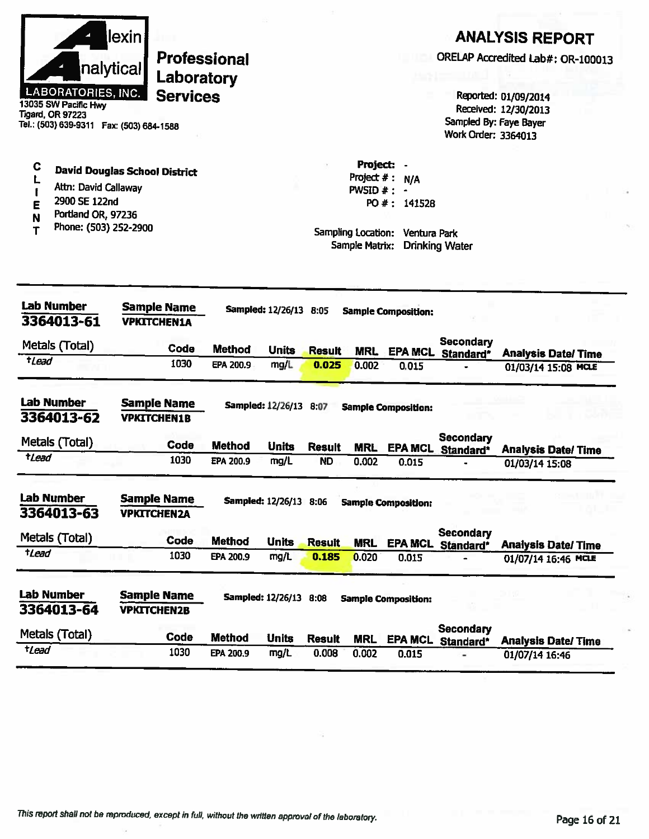|             | nalytical<br><b>LABORATORIES, INC.</b><br>13035 SW Pacific Hwy<br><b>Tigard, OR 97223</b><br>Tel.: (503) 639-9311  Fax: (503) 684-1588 | lexin | Laboratory<br><b>Services</b>            | <b>Professional</b>        |                        |                            |                                                                   |                                                   | Work Order: 3364013                        | <b>ANALYSIS REPORT</b><br>ORELAP Accredited Lab#: OR-100013<br>Reported: 01/09/2014<br>Received: 12/30/2013<br>Sampled By: Faye Bayer |
|-------------|----------------------------------------------------------------------------------------------------------------------------------------|-------|------------------------------------------|----------------------------|------------------------|----------------------------|-------------------------------------------------------------------|---------------------------------------------------|--------------------------------------------|---------------------------------------------------------------------------------------------------------------------------------------|
| С<br>Е<br>т | <b>David Douglas School District</b><br>Attn: David Callaway<br>2900 SE 122nd<br>Portland OR, 97236<br>Phone: (503) 252-2900           |       |                                          |                            |                        |                            | Project $#$ :<br>PWSID #:<br>Sampling Location:<br>Sample Matrix: | Project: -<br>N/A<br>PO #: 141528<br>Ventura Park | <b>Drinking Water</b>                      |                                                                                                                                       |
|             | <b>Lab Number</b><br>3364013-61                                                                                                        |       | <b>Sample Name</b><br><b>VPKITCHEN1A</b> |                            | Sampled: 12/26/13 8:05 |                            |                                                                   | <b>Sample Composition:</b>                        |                                            |                                                                                                                                       |
| $t$ Lead    | Metals (Total)                                                                                                                         |       | Code<br>1030                             | <b>Method</b><br>EPA 200.9 | <b>Units</b><br>mg/L   | <b>Result</b><br>0.025     | <b>MRL</b><br>0.002                                               | 0.015                                             | <b>Secondary</b><br>EPA MCL Standard*<br>- | <b>Analysis Date/Time</b><br>01/03/14 15:08 MCLE                                                                                      |
|             | <b>Lab Number</b><br>3364013-62                                                                                                        |       | <b>Sample Name</b><br><b>VPKITCHEN1B</b> |                            | Sampled: 12/26/13 8:07 |                            |                                                                   | <b>Sample Composition:</b>                        |                                            |                                                                                                                                       |
| tLead       | Metals (Total)                                                                                                                         |       | Code<br>1030                             | <b>Method</b><br>EPA 200.9 | <b>Units</b><br>mg/L   | <b>Result</b><br><b>ND</b> | <b>MRL</b><br>0.002                                               | 0.015                                             | Secondary<br>EPA MCL_Standard*             | <b>Analysis Date/Time</b><br>01/03/14 15:08                                                                                           |
|             | <b>Lab Number</b><br>3364013-63                                                                                                        |       | <b>Sample Name</b><br><b>VPKITCHEN2A</b> |                            | Sampled: 12/26/13 8:06 |                            |                                                                   | <b>Sample Composition:</b>                        |                                            |                                                                                                                                       |
| tLead       | Metals (Total)                                                                                                                         |       | Code<br>1030                             | <b>Method</b><br>EPA 200.9 | <b>Units</b><br>mg/L   | <b>Result</b><br>0.185     | <b>MRL</b><br>0.020                                               | <b>EPA MCL</b><br>0.015                           | <b>Secondary</b><br>Standard*              | <b>Analysis Date/Time</b><br>01/07/14 16:46 MCLE                                                                                      |
|             | <b>Lab Number</b><br>3364013-64                                                                                                        |       | <b>Sample Name</b><br><b>VPKITCHEN2B</b> |                            | Sampled: 12/26/13 8:08 |                            |                                                                   | <b>Sample Composition:</b>                        |                                            |                                                                                                                                       |
|             | Metals (Total)                                                                                                                         |       | Code                                     | <b>Method</b>              | <b>Units</b>           | <b>Result</b>              | <b>MRL</b>                                                        | <b>EPA MCL</b>                                    | <b>Secondary</b><br>Standard*              | <b>Analysis Date/Time</b>                                                                                                             |
| tLead       |                                                                                                                                        |       | 1030                                     | EPA 200.9                  | mg/L                   | 0.008                      | 0.002                                                             | 0.015                                             |                                            | 01/07/14 16:46                                                                                                                        |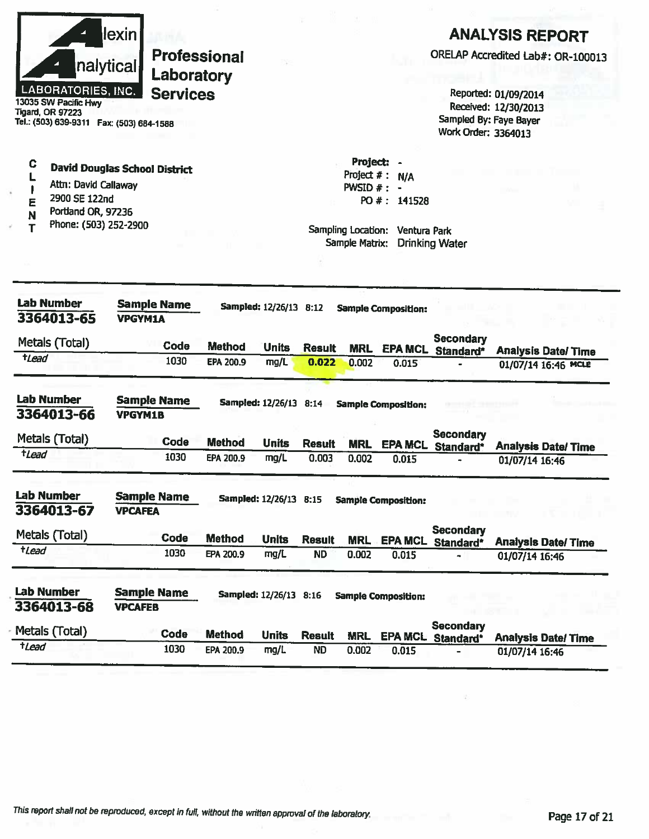|                                                                                                                                          | lexin                                |                  |                        |                            |                     |                                 |                                              | <b>ANALYSIS REPORT</b>                      |
|------------------------------------------------------------------------------------------------------------------------------------------|--------------------------------------|------------------|------------------------|----------------------------|---------------------|---------------------------------|----------------------------------------------|---------------------------------------------|
|                                                                                                                                          | <b>Professional</b>                  |                  |                        |                            |                     |                                 | ORELAP Accredited Lab#: OR-100013            |                                             |
|                                                                                                                                          | nalytical<br>Laboratory              |                  |                        |                            |                     |                                 |                                              |                                             |
| LABORATORIES, INC.                                                                                                                       | <b>Services</b>                      |                  |                        |                            |                     |                                 |                                              | Reported: 01/09/2014                        |
| 13035 SW Pacific Hwy<br>Tigard, OR 97223                                                                                                 |                                      |                  |                        |                            |                     |                                 |                                              | Received: 12/30/2013                        |
| Tel.: (503) 639-9311    Fax: (503) 684-1588                                                                                              |                                      |                  |                        |                            |                     |                                 | Sampled By: Faye Bayer                       |                                             |
|                                                                                                                                          |                                      |                  |                        |                            |                     |                                 | Work Order: 3364013                          |                                             |
| C                                                                                                                                        | <b>David Douglas School District</b> |                  |                        |                            | Project: -          |                                 |                                              |                                             |
|                                                                                                                                          |                                      |                  |                        |                            | Project $#$ :       | N/A                             |                                              |                                             |
| Attn: David Callaway<br>2900 SE 122nd                                                                                                    |                                      |                  |                        |                            | PWSID $#: -$        |                                 |                                              |                                             |
| Е<br>Portland OR, 97236                                                                                                                  |                                      |                  |                        |                            |                     | PO #: 141528                    |                                              |                                             |
| N<br>Phone: (503) 252-2900                                                                                                               |                                      |                  |                        |                            |                     |                                 |                                              |                                             |
|                                                                                                                                          |                                      |                  |                        |                            | Sample Matrix:      | Sampling Location: Ventura Park | <b>Drinking Water</b>                        |                                             |
|                                                                                                                                          |                                      |                  |                        |                            |                     |                                 |                                              |                                             |
|                                                                                                                                          |                                      |                  |                        |                            |                     |                                 |                                              |                                             |
| <b>Lab Number</b>                                                                                                                        | <b>Sample Name</b>                   |                  |                        |                            |                     |                                 |                                              |                                             |
| 3364013-65                                                                                                                               | <b>VPGYM1A</b>                       |                  | Sampled: 12/26/13 8:12 |                            |                     | <b>Sample Composition:</b>      |                                              |                                             |
|                                                                                                                                          |                                      |                  |                        |                            |                     |                                 |                                              |                                             |
| Metals (Total)                                                                                                                           | Code                                 | <b>Method</b>    | <b>Units</b>           | <b>Result</b>              | <b>MRL</b>          |                                 | <b>Secondary</b><br><b>EPA MCL Standard*</b> | <b>Analysis Date/Time</b>                   |
| tLead                                                                                                                                    | 1030                                 | <b>EPA 200.9</b> | mg/L                   | 0.022                      | 0.002               | 0.015                           |                                              | 01/07/14 16:46 MCLE                         |
| <b>Lab Number</b>                                                                                                                        |                                      |                  |                        |                            |                     |                                 |                                              |                                             |
|                                                                                                                                          |                                      |                  |                        |                            |                     |                                 |                                              |                                             |
|                                                                                                                                          | <b>Sample Name</b>                   |                  | Sampled: 12/26/13 8:14 |                            |                     | <b>Sample Composition:</b>      |                                              |                                             |
|                                                                                                                                          | <b>VPGYM1B</b>                       |                  |                        |                            |                     |                                 |                                              |                                             |
|                                                                                                                                          | Code                                 | <b>Method</b>    | <b>Units</b>           | <b>Result</b>              | <b>MRL</b>          |                                 | <b>Secondary</b>                             |                                             |
| tLead                                                                                                                                    | 1030                                 | EPA 200.9        | mg/L                   | 0.003                      | 0.002               | <b>EPA MCL</b><br>0.015         | Standard*                                    | <b>Analysis Date/Time</b><br>01/07/14 16:46 |
|                                                                                                                                          |                                      |                  |                        |                            |                     |                                 |                                              |                                             |
|                                                                                                                                          | <b>Sample Name</b>                   |                  | Sampled: 12/26/13 8:15 |                            |                     | <b>Sample Composition:</b>      |                                              |                                             |
|                                                                                                                                          | <b>VPCAFEA</b>                       |                  |                        |                            |                     |                                 |                                              |                                             |
|                                                                                                                                          | Code                                 | <b>Method</b>    | <b>Units</b>           |                            |                     |                                 | <b>Secondary</b>                             |                                             |
|                                                                                                                                          | 1030                                 | EPA 200.9        | mg/L                   | <b>Result</b><br><b>ND</b> | <b>MRL</b><br>0.002 | <b>EPA MCL</b><br>0.015         | Standard*                                    | <b>Analysis Date/Time</b><br>01/07/14 16:46 |
|                                                                                                                                          |                                      |                  |                        |                            |                     |                                 |                                              |                                             |
|                                                                                                                                          | <b>Sample Name</b><br><b>VPCAFEB</b> |                  | Sampled: 12/26/13 8:16 |                            |                     | <b>Sample Composition:</b>      |                                              |                                             |
| 3364013-66<br>Metals (Total)<br><b>Lab Number</b><br>3364013-67<br>Metals (Total)<br>tLead<br>Lab Number<br>3364013-68<br>Metals (Total) | Code                                 | <b>Method</b>    | <b>Units</b>           | <b>Result</b>              | <b>MRL</b>          | <b>EPA MCL</b>                  | <b>Secondary</b><br>Standard*                | <b>Analysis Date/Time</b>                   |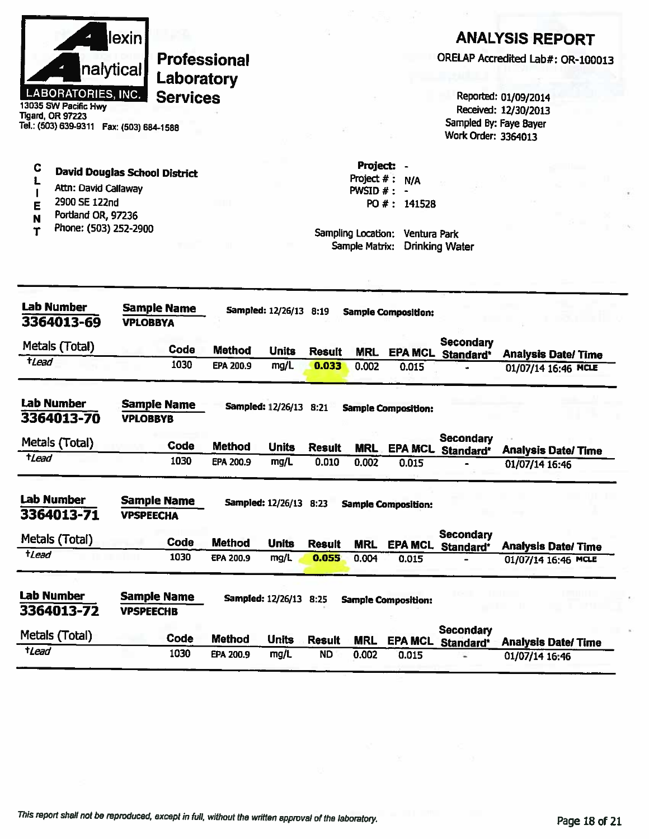|                      | <b>lexin</b>              |
|----------------------|---------------------------|
|                      | nalytical                 |
| 13035 SW Pacific Hwy | <b>LABORATORIES, INC.</b> |

#### **ANALYSIS REPORT**

ORELAP Accredited Lab#: OR-100013

Reported: 01/09/2014 Received: 12/30/2013 Sampled By: Faye Bayer Work Order: 3364013

**Tigard, OR 97223** Tel.: (503) 639-9311 Fax: (503) 684-1588

| v | David Douglas School District |  |
|---|-------------------------------|--|
|   |                               |  |

- Attn: David Callaway  $\mathbf{I}$
- 2900 SE 122nd E

 $\rightarrow$ 

- Portland OR, 97236 N
- Phone: (503) 252-2900  $\mathbf T$

Project  $# : N/A$ PWSID  $# : -$ PO #: 141528

Project: -

| <b>Lab Number</b><br>3364013-69 | Sample Name<br><b>VPLOBBYA</b> |             | Sampled: 12/26/13 8:19<br><b>Sample Composition:</b>           |                        |               |            |                            |                               |                           |
|---------------------------------|--------------------------------|-------------|----------------------------------------------------------------|------------------------|---------------|------------|----------------------------|-------------------------------|---------------------------|
| Metals (Total)                  |                                | Code        | <b>Method</b>                                                  | <b>Units</b>           | <b>Result</b> | <b>MRL</b> | <b>EPA MCL</b>             | <b>Secondary</b><br>Standard* | <b>Analysis Date/Time</b> |
| †Lead                           |                                | 1030        | EPA 200.9                                                      | mg/L                   | 0.033         | 0.002      | 0.015                      |                               | 01/07/14 16:46 MCLE       |
| <b>Lab Number</b><br>3364013-70 | <b>VPLOBBYB</b>                | Sample Name | <b>Sampled: 12/26/13</b><br>8.21<br><b>Sample Composition:</b> |                        |               |            |                            |                               |                           |
| Metals (Total)                  |                                | Code        | <b>Method</b>                                                  | <b>Units</b>           | <b>Result</b> | <b>MRL</b> | <b>EPA MCL</b>             | Secondary<br>Standard*        | <b>Analysis Date/Time</b> |
| tLead                           |                                | 1030        | EPA 200.9                                                      | mg/L                   | 0.010         | 0.002      | 0.015                      |                               | 01/07/14 16:46            |
| <b>Lab Number</b>               |                                | Sample Name |                                                                | Sampled: 12/26/13 8:23 |               |            | <b>Sample Composition:</b> |                               |                           |
| 3364013-71                      | <b>VPSPEECHA</b>               |             |                                                                |                        |               |            |                            |                               |                           |
| Metals (Total)                  |                                | Code        | <b>Method</b>                                                  | <b>Units</b>           | <b>Result</b> | <b>MRL</b> | <b>EPA MCL</b>             | <b>Secondary</b><br>Standard* | <b>Analysis Date/Time</b> |
| tLead                           |                                | 1030        | EPA 200.9                                                      | mg/L                   | 0.055         | 0.004      | 0.015                      |                               | 01/07/14 16:46 MCLE       |
| <b>Lab Number</b><br>3364013-72 | <b>VPSPEECHB</b>               | Sample Name |                                                                | Sampled: 12/26/13 8:25 |               |            | <b>Sample Composition:</b> |                               |                           |
| Metals (Total)                  |                                | Code        | <b>Method</b>                                                  | <b>Units</b>           | <b>Result</b> | <b>MRL</b> | <b>EPA MCL</b>             | <b>Secondary</b><br>Standard* | <b>Analysis Date/Time</b> |
| $t$ Lead                        |                                | 1030        | EPA 200.9                                                      | mg/L                   | <b>ND</b>     | 0.002      | 0.015                      |                               | 01/07/14 16:46            |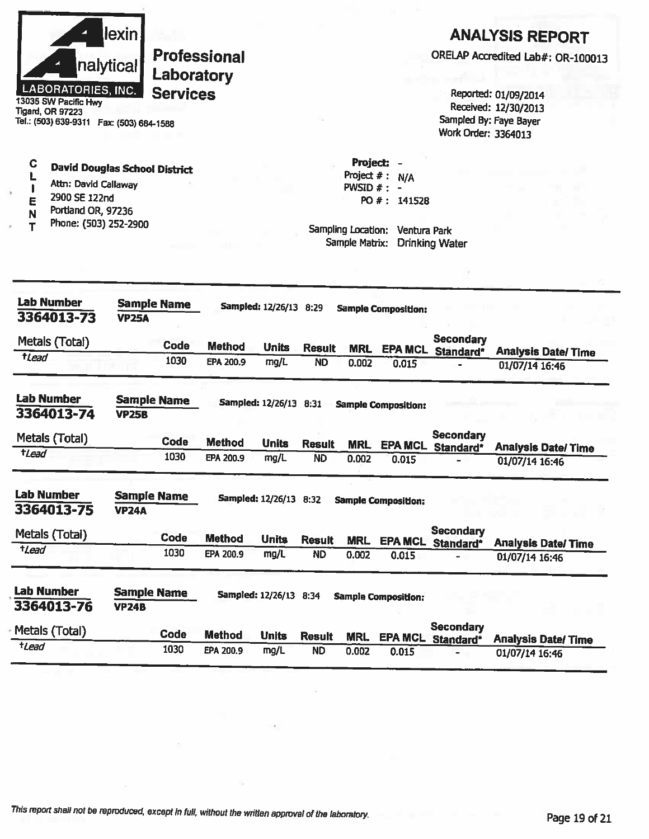| llexin l<br>nalytical                       | Professional<br>Laboratory |
|---------------------------------------------|----------------------------|
| <b>LABORATORIES, INC.</b>                   | <b>Services</b>            |
| 13035 SW Pacific Hwy                        |                            |
| Tigard, OR 97223                            |                            |
| Tel.: (503) 639-9311<br>Fax: (503) 684-1588 |                            |

## **ANALYSIS REPORT**

ORELAP Accredited Lab#: OR-100013

Reported: 01/09/2014 Received: 12/30/2013 Sampled By: Faye Bayer Work Order: 3364013

| C | David Douglas School Distric |  |
|---|------------------------------|--|
|   |                              |  |

- L Attn: David Callaway  $\mathbf{I}$
- 2900 SE 122nd E
- Portland OR, 97236  $\overline{\mathsf{N}}$
- Phone: (503) 252-2900  $\overline{\mathbf{T}}$

Project: -Project  $# : N/A$ PWSID  $#$  : -PO #: 141528

| Lab Number<br>3364013-73        | <b>Sample Name</b><br><b>VP25A</b> |             | Sampled: 12/26/13 8:29 |                          |               |            | <b>Sample Composition:</b> |                               |                            |
|---------------------------------|------------------------------------|-------------|------------------------|--------------------------|---------------|------------|----------------------------|-------------------------------|----------------------------|
| Metals (Totai)                  |                                    | <b>Code</b> | <b>Method</b>          | <b>Units</b>             | <b>Result</b> | <b>MRL</b> | <b>EPA MCL</b>             | <b>Secondary</b><br>Standard* | <b>Analysis Date/Time</b>  |
| tlead                           |                                    | 1030        | EPA 200.9              | mg/L                     | <b>ND</b>     | 0.002      | 0.015                      |                               | 01/07/14 16:46             |
| <b>Lab Number</b><br>3364013-74 | <b>Sample Name</b><br><b>VP25B</b> |             |                        | <b>Sampled: 12/26/13</b> | 8:31          |            | <b>Sample Composition:</b> |                               |                            |
| Metals (Total)                  |                                    | Code        | <b>Method</b>          | <b>Units</b>             | <b>Result</b> | <b>MRL</b> | <b>EPA MCL</b>             | <b>Secondary</b><br>Standard* | <b>Analysis Date/ Time</b> |
| <i>tLead</i>                    |                                    | 1030        | EPA 200.9              | mg/L                     | <b>ND</b>     | 0.002      | 0.015                      |                               | 01/07/14 16:46             |
| <b>Lab Number</b><br>3364013-75 | <b>Sample Name</b><br><b>VP24A</b> |             |                        | Sampled: 12/26/13 8:32   |               |            | <b>Sample Composition:</b> |                               |                            |
| Metals (Total)                  |                                    | Code        | <b>Method</b>          | <b>Units</b>             | <b>Result</b> | <b>MRL</b> | <b>EPA MCL</b>             | Secondary<br>Standard*        | <b>Analysis Date/Time</b>  |
| tLead                           |                                    | 1030        | EPA 200.9              | mg/L                     | <b>ND</b>     | 0.002      | 0.015                      |                               | 01/07/14 16:46             |
| <b>Lab Number</b><br>3364013-76 | <b>Sample Name</b><br><b>VP24B</b> |             |                        | Sampled: 12/26/13 8:34   |               |            | <b>Sample Composition:</b> |                               |                            |
| Metals (Total)                  |                                    | <b>Code</b> | <b>Method</b>          | <b>Units</b>             | <b>Result</b> | <b>MRL</b> | <b>EPA MCL</b>             | <b>Secondary</b><br>Standard* | <b>Analysis Date/Time</b>  |
| <b>tLead</b>                    |                                    | 1030        | EPA 200.9              | mg/L                     | <b>ND</b>     | 0.002      | 0.015                      |                               | 01/07/14 16:46             |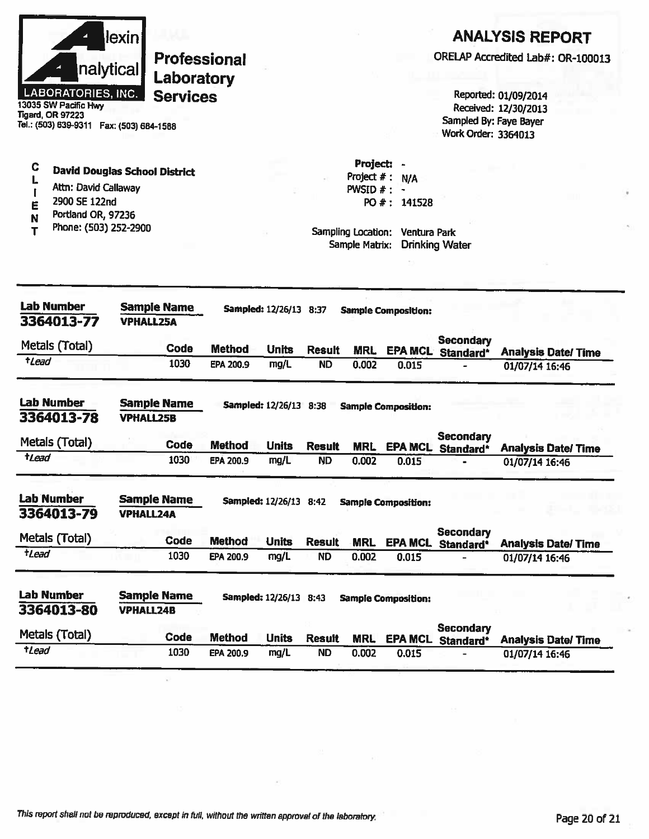| llexin                    |
|---------------------------|
| nalytical                 |
| <b>LABORATORIES, INC.</b> |

13035 SW Pacific Hwy **Tigard, OR 97223** Tel.: (503) 639-9311 Fax: (503) 684-1588

#### **ANALYSIS REPORT**

ORELAP Accredited Lab#: OR-100013

Reported: 01/09/2014 Received: 12/30/2013 Sampled By: Faye Bayer Work Order: 3364013

**David Douglas School District** 

- L Attn: David Callaway  $\mathbf{I}$
- 2900 SE 122nd Ë

 $\mathbf c$ 

Portland OR, 97236 N

Phone: (503) 252-2900 T

Project: -Project  $#: N/A$ PWSID  $# :$ PO #: 141528

| <b>Lab Number</b><br>3364013-77 | <b>Sample Name</b><br><b>VPHALL25A</b> | Sampled: 12/26/13 8:37<br><b>Sample Composition:</b>           |              |               |            |                            |                               |                           |
|---------------------------------|----------------------------------------|----------------------------------------------------------------|--------------|---------------|------------|----------------------------|-------------------------------|---------------------------|
| Metals (Total)                  | Code                                   | <b>Method</b>                                                  | <b>Units</b> | <b>Result</b> | <b>MRL</b> | <b>EPA MCL</b>             | <b>Secondary</b><br>Standard* | <b>Analysis Date/Time</b> |
| <i><b>tLead</b></i>             | 1030                                   | EPA 200.9                                                      | mg/L         | <b>ND</b>     | 0.002      | 0.015                      |                               | 01/07/14 16:46            |
| <b>Lab Number</b><br>3364013-78 | <b>Sample Name</b><br><b>VPHALL25B</b> | <b>Sampled: 12/26/13</b><br>8:38<br><b>Sample Composition:</b> |              |               |            |                            |                               |                           |
| Metals (Total)                  | Code                                   | <b>Method</b>                                                  | <b>Units</b> | <b>Result</b> | <b>MRL</b> | <b>EPA MCL</b>             | <b>Secondary</b><br>Standard* | <b>Analysis Date/Time</b> |
| <b>tLead</b>                    | 1030                                   | <b>EPA 200.9</b>                                               | mg/L         | <b>ND</b>     | 0.002      | 0.015                      |                               | 01/07/14 16:46            |
| <b>Lab Number</b><br>3364013-79 | <b>Sample Name</b><br><b>VPHALL24A</b> | <b>Sampled: 12/26/13</b>                                       |              | 8:42          |            | <b>Sample Composition:</b> |                               |                           |
| Metals (Total)                  | <b>Code</b>                            | <b>Method</b>                                                  | <b>Units</b> | <b>Result</b> | <b>MRL</b> | <b>EPA MCL</b>             | Secondary<br>Standard*        | <b>Analysis Date/Time</b> |
| <i><b>+Lead</b></i>             | 1030                                   | EPA 200.9                                                      | mg/L         | <b>ND</b>     | 0.002      | 0.015                      |                               | 01/07/14 16:46            |
| <b>Lab Number</b><br>3364013-80 | <b>Sample Name</b><br><b>VPHALL24B</b> | <b>Sampled: 12/26/13</b>                                       |              | 8:43          |            | <b>Sample Composition:</b> |                               |                           |
| Metals (Total)                  | <b>Code</b>                            | <b>Method</b>                                                  | <b>Units</b> | <b>Result</b> | <b>MRL</b> | <b>EPA MCL</b>             | <b>Secondary</b><br>Standard* | <b>Analysis Date/Time</b> |
| <i><b>tLead</b></i>             | 1030                                   | EPA 200.9                                                      | mg/L         | <b>ND</b>     | 0.002      | 0.015                      |                               | 01/07/14 16:46            |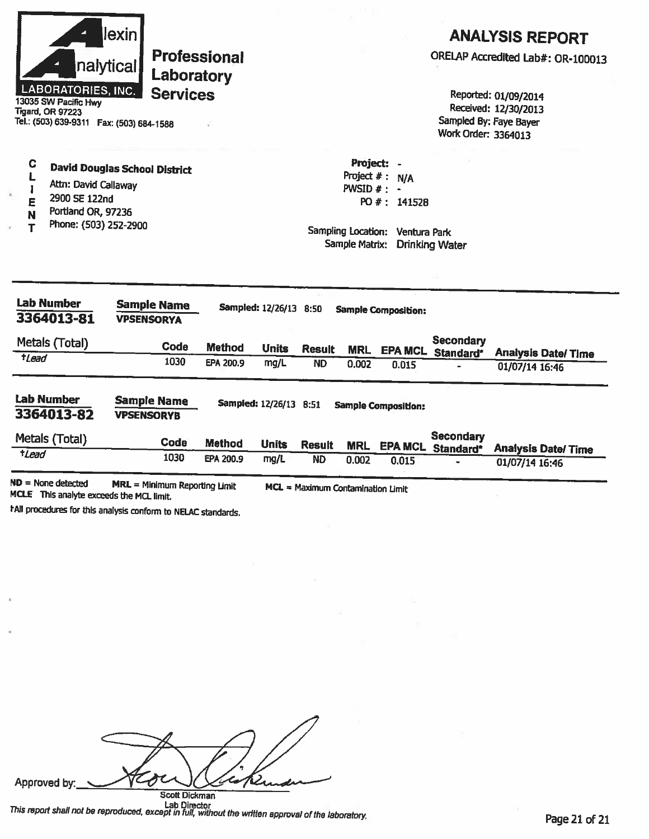| LABORATORIES, INC.<br>13035 SW Pacific Hwy<br><b>Tigard, OR 97223</b><br>Tel.: (503) 639-9311  Fax: (503) 684-1588 | lexin<br><b>Professional</b><br>nalytical<br>Laboratory<br><b>Services</b> |                            |                                |               |                                          |                                     | Sampled By: Faye Bayer                | <b>ANALYSIS REPORT</b><br>ORELAP Accredited Lab#: OR-100013<br>Reported: 01/09/2014<br>Received: 12/30/2013 |
|--------------------------------------------------------------------------------------------------------------------|----------------------------------------------------------------------------|----------------------------|--------------------------------|---------------|------------------------------------------|-------------------------------------|---------------------------------------|-------------------------------------------------------------------------------------------------------------|
| C<br>Attn: David Callaway<br>2900 SE 122nd<br>Е<br>Portland OR, 97236<br>N                                         | <b>David Douglas School District</b>                                       |                            |                                |               | Project:<br>Project $#$ :<br>$PWSID$ # : | N/A<br>PO #: 141528                 | Work Order: 3364013                   |                                                                                                             |
| Phone: (503) 252-2900<br>Т                                                                                         |                                                                            |                            |                                |               | Sampling Location:<br>Sample Matrix:     | Ventura Park                        | <b>Drinking Water</b>                 |                                                                                                             |
|                                                                                                                    | <b>Sample Name</b><br><b>VPSENSORYA</b>                                    |                            | Sampled: 12/26/13 8:50         |               |                                          | <b>Sample Composition:</b>          |                                       |                                                                                                             |
|                                                                                                                    | Code<br>1030                                                               | <b>Method</b><br>EPA 200.9 | <b>Units</b>                   | <b>Result</b> | <b>MRL</b>                               |                                     | <b>Secondary</b><br>EPA MCL Standard* | <b>Analysis Date/ Time</b>                                                                                  |
| <b>Lab Number</b><br>3364013-81<br>Metals (Total)<br>$t$ <sub>Lead</sub><br><b>Lab Number</b><br>3364013-82        | <b>Sample Name</b><br><b>VPSENSORYB</b>                                    |                            | mg/L<br>Sampled: 12/26/13 8:51 | <b>ND</b>     | 0.002                                    | 0.015<br><b>Sample Composition:</b> |                                       | 01/07/14 16:46                                                                                              |
| Metals (Total)<br>tLead                                                                                            | <b>Code</b>                                                                | <b>Method</b>              | <b>Units</b>                   | <b>Result</b> | <b>MRL</b>                               |                                     | <b>Secondary</b><br>EPA MCL Standard* | <b>Analysis Date/Time</b>                                                                                   |

hall procedures for this analysis conform to NELAC standards.

**PED** Approved by: Í.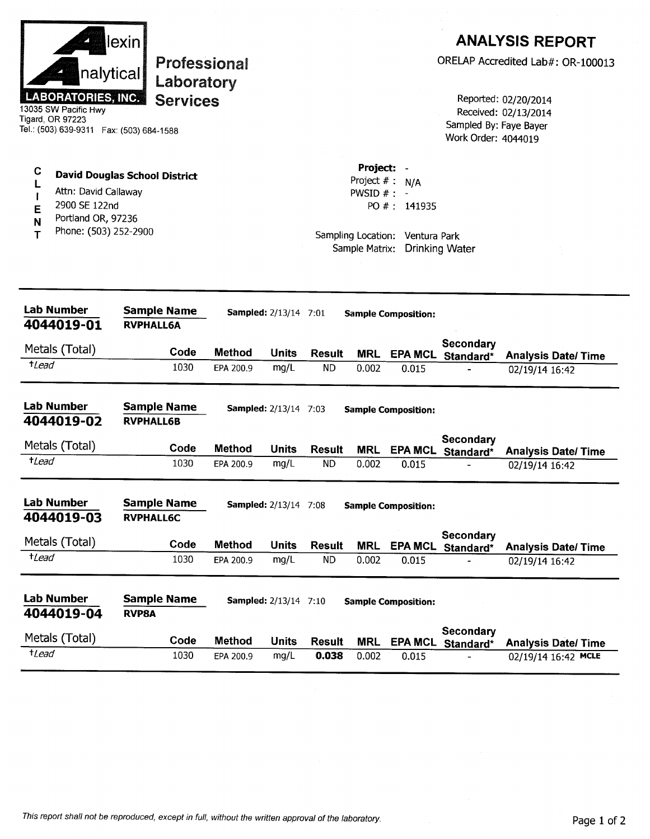|                  | nalytical<br><b>LABORATORIES, INC.</b><br>13035 SW Pacific Hwy<br>Tigard, OR 97223<br>Tel.: (503) 639-9311    Fax: (503) 684-1588 | lexin            | Professional<br>Laboratory<br><b>Services</b> |                            |                              |                            |                                              |                                                                      | Sampled By: Faye Bayer<br>Work Order: 4044019 | <b>ANALYSIS REPORT</b><br>ORELAP Accredited Lab#: OR-100013<br>Reported: 02/20/2014<br>Received: 02/13/2014 |
|------------------|-----------------------------------------------------------------------------------------------------------------------------------|------------------|-----------------------------------------------|----------------------------|------------------------------|----------------------------|----------------------------------------------|----------------------------------------------------------------------|-----------------------------------------------|-------------------------------------------------------------------------------------------------------------|
| C<br>E<br>N<br>т | <b>David Douglas School District</b><br>Attn: David Callaway<br>2900 SE 122nd<br>Portland OR, 97236<br>Phone: (503) 252-2900      |                  |                                               |                            |                              |                            | Project: -<br>PWSID $#: -$<br>Sample Matrix: | Project $# : N/A$<br>PO #: 141935<br>Sampling Location: Ventura Park | <b>Drinking Water</b>                         |                                                                                                             |
|                  | <b>Lab Number</b><br>4044019-01                                                                                                   | <b>RVPHALL6A</b> | <b>Sample Name</b>                            |                            | <b>Sampled:</b> 2/13/14 7:01 |                            |                                              | <b>Sample Composition:</b>                                           |                                               |                                                                                                             |
|                  | Metals (Total)                                                                                                                    |                  |                                               |                            |                              |                            |                                              |                                                                      | Secondary                                     |                                                                                                             |
| $t$ <i>Lead</i>  |                                                                                                                                   |                  | Code<br>1030                                  | <b>Method</b><br>EPA 200.9 | <b>Units</b><br>mg/L         | <b>Result</b><br><b>ND</b> | <b>MRL</b><br>0.002                          | 0.015                                                                | EPA MCL Standard*                             | <b>Analysis Date/Time</b><br>02/19/14 16:42                                                                 |
|                  | <b>Lab Number</b><br>4044019-02                                                                                                   | <b>RVPHALL6B</b> | <b>Sample Name</b>                            |                            | <b>Sampled:</b> 2/13/14 7:03 |                            |                                              | <b>Sample Composition:</b>                                           |                                               |                                                                                                             |
|                  | Metals (Total)                                                                                                                    |                  | Code                                          | <b>Method</b>              | Units                        | Result                     | MRL                                          | <b>EPA MCL</b>                                                       | Secondary<br>Standard*                        | <b>Analysis Date/Time</b>                                                                                   |
| <i>tLead</i>     |                                                                                                                                   |                  | 1030                                          | EPA 200.9                  | mg/L                         | <b>ND</b>                  | 0.002                                        | 0.015                                                                |                                               | 02/19/14 16:42                                                                                              |
|                  | <b>Lab Number</b><br>4044019-03                                                                                                   | <b>RVPHALL6C</b> | <b>Sample Name</b>                            |                            | <b>Sampled:</b> 2/13/14 7:08 |                            |                                              | <b>Sample Composition:</b>                                           |                                               |                                                                                                             |
|                  | Metals (Total)                                                                                                                    |                  | Code                                          | <b>Method</b>              | <b>Units</b>                 | <b>Result</b>              | <b>MRL</b>                                   | <b>EPA MCL</b>                                                       | Secondary<br>Standard*                        | <b>Analysis Date/Time</b>                                                                                   |
| $t$ Lead         |                                                                                                                                   |                  | 1030                                          | EPA 200.9                  | mg/L                         | <b>ND</b>                  | 0.002                                        | 0.015                                                                |                                               | 02/19/14 16:42                                                                                              |
|                  | <b>Lab Number</b><br>4044019-04                                                                                                   | <b>RVP8A</b>     | <b>Sample Name</b>                            |                            | <b>Sampled:</b> 2/13/14 7:10 |                            |                                              | <b>Sample Composition:</b>                                           |                                               |                                                                                                             |
|                  | Metals (Total)                                                                                                                    |                  | Code                                          | <b>Method</b>              | <b>Units</b>                 | <b>Result</b>              | <b>MRL</b>                                   | <b>EPA MCL</b>                                                       | Secondary<br>Standard*                        | <b>Analysis Date/Time</b>                                                                                   |
| $t$ Lead         |                                                                                                                                   |                  | 1030                                          | EPA 200.9                  | mg/L                         | 0.038                      | 0.002                                        | 0.015                                                                |                                               | 02/19/14 16:42 MCLE                                                                                         |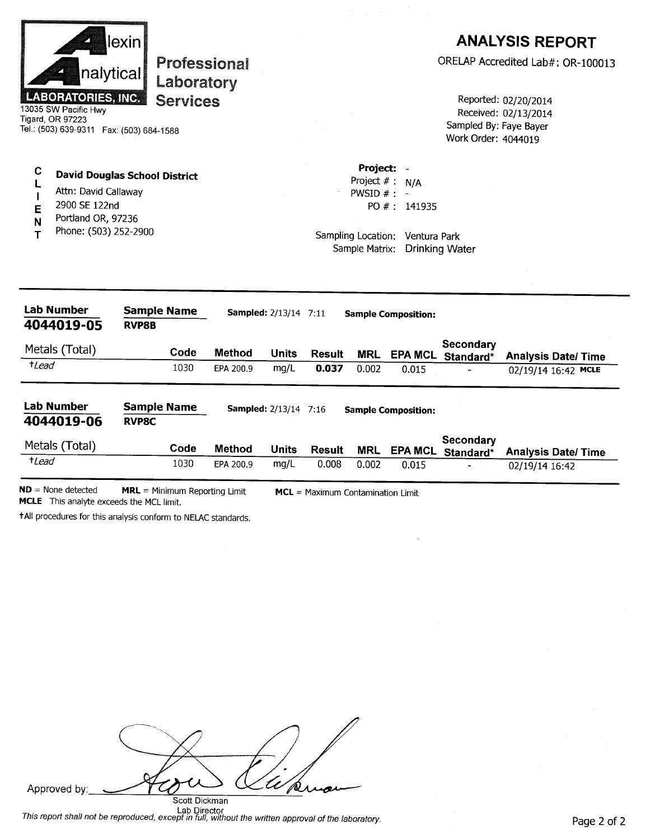|                                                                                                                                                     | lexin        |                                 |               |                              |               |                                                                  |                                                                          |                                               | <b>ANALYSIS REPORT</b>                       |
|-----------------------------------------------------------------------------------------------------------------------------------------------------|--------------|---------------------------------|---------------|------------------------------|---------------|------------------------------------------------------------------|--------------------------------------------------------------------------|-----------------------------------------------|----------------------------------------------|
|                                                                                                                                                     | nalytical    | Professional                    |               |                              |               |                                                                  |                                                                          |                                               | ORELAP Accredited Lab#: OR-100013            |
| Laboratory<br><b>LABORATORIES, INC.</b><br><b>Services</b><br>13035 SW Pacific Hwy<br>Tigard, OR 97223<br>Tel.: (503) 639-9311  Fax: (503) 684-1588 |              |                                 |               |                              |               |                                                                  |                                                                          | Sampled By: Faye Bayer<br>Work Order: 4044019 | Reported: 02/20/2014<br>Received: 02/13/2014 |
| C<br><b>David Douglas School District</b><br>Attn: David Callaway<br>2900 SE 122nd<br>E<br>Portland OR, 97236<br>N<br>Phone: (503) 252-2900<br>Т    |              |                                 |               |                              |               | Project: -<br>Project $# : N/A$<br>PWSID $#$ :<br>Sample Matrix: | PO #: 141935<br>Sampling Location: Ventura Park<br><b>Drinking Water</b> |                                               |                                              |
| <b>Lab Number</b><br>4044019-05                                                                                                                     | <b>RVP8B</b> | <b>Sample Name</b>              |               | <b>Sampled:</b> 2/13/14 7:11 |               |                                                                  | <b>Sample Composition:</b>                                               |                                               |                                              |
| Metals (Total)                                                                                                                                      |              | Code                            | Method        | <b>Units</b>                 | <b>Result</b> | <b>MRL</b>                                                       |                                                                          | Secondary<br>EPA MCL Standard*                | <b>Analysis Date/Time</b>                    |
| $t$ Lead                                                                                                                                            |              | 1030                            | EPA 200.9     | mg/L                         | 0.037         | 0.002                                                            | 0.015                                                                    |                                               | 02/19/14 16:42 MCLE                          |
| <b>Lab Number</b><br>4044019-06                                                                                                                     | <b>RVP8C</b> | <b>Sample Name</b>              |               | <b>Sampled:</b> 2/13/14 7:16 |               |                                                                  | <b>Sample Composition:</b>                                               |                                               |                                              |
| Metals (Total)                                                                                                                                      |              | Code                            | <b>Method</b> | <b>Units</b>                 | <b>Result</b> | <b>MRL</b>                                                       | EPA MCL                                                                  | Secondary<br>Standard*                        | <b>Analysis Date/Time</b>                    |
| $t$ <i>Lead</i>                                                                                                                                     |              | 1030                            | EPA 200.9     | mg/L                         | 0.008         | 0.002                                                            | 0.015                                                                    |                                               | 02/19/14 16:42                               |
| $ND = None detected$                                                                                                                                |              | $MRL = Minimum Reporting Limit$ |               |                              |               | MCL = Maximum Contamination Limit                                |                                                                          |                                               |                                              |

MCLE This analyte exceeds the MCL limit.

tAll procedures for this analysis conform to NELAC standards.

| <b>Experience and Contract Contract</b><br>Approved by: |  |
|---------------------------------------------------------|--|
| Scott Dickman<br>.                                      |  |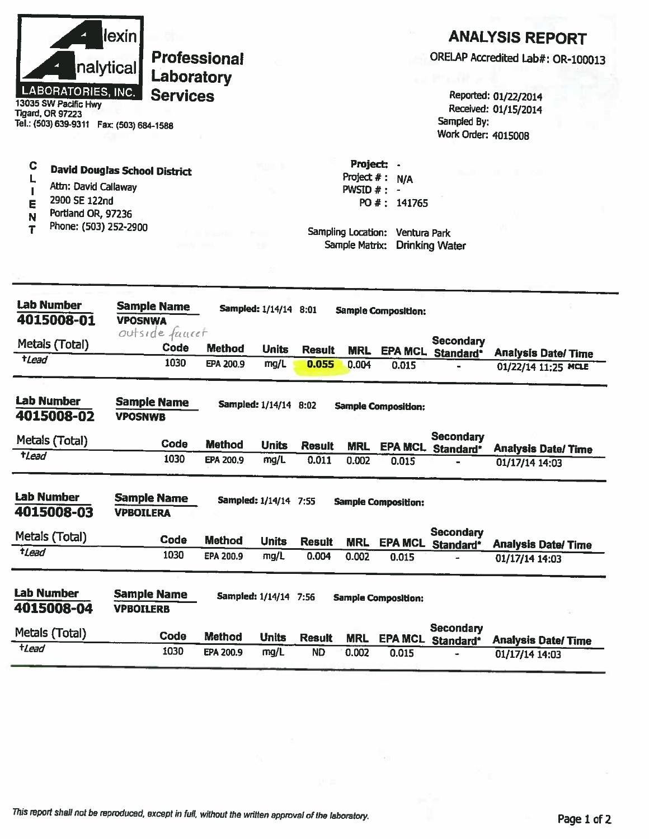| LABORATORIES, INC.<br>13035 SW Pacific Hwy<br>Tigard, OR 97223<br>Tel.: (503) 639-9311    Fax: (503) 684-1588 | <u>lexinl</u><br><b>Professional</b><br>nalytical<br>Laboratory<br><b>Services</b> |               |                       |               |                                                                     |                                                | Sampled By:<br>Work Order: 4015008    | <b>ANALYSIS REPORT</b><br>ORELAP Accredited Lab#: OR-100013<br>Reported: 01/22/2014<br>Received: 01/15/2014 |
|---------------------------------------------------------------------------------------------------------------|------------------------------------------------------------------------------------|---------------|-----------------------|---------------|---------------------------------------------------------------------|------------------------------------------------|---------------------------------------|-------------------------------------------------------------------------------------------------------------|
| C<br>Attn: David Callaway<br>2900 SE 122nd<br>E<br>Portland OR, 97236<br>N<br>Phone: (503) 252-2900<br>T      | <b>David Douglas School District</b>                                               |               |                       |               | Project: -<br>PWSID $#$ : -<br>Sampling Location:<br>Sample Matrix: | Project #: N/A<br>PO #: 141765<br>Ventura Park | <b>Drinking Water</b>                 |                                                                                                             |
| <b>Lab Number</b><br>4015008-01                                                                               | <b>Sample Name</b><br><b>VPOSNWA</b>                                               |               | Sampled: 1/14/14 8:01 |               |                                                                     | <b>Sample Composition:</b>                     |                                       |                                                                                                             |
| Metals (Total)                                                                                                | outside faucet<br>Code                                                             | <b>Method</b> | <b>Units</b>          | <b>Result</b> | <b>MRL</b>                                                          |                                                | <b>Secondary</b>                      |                                                                                                             |
| $t$ Lead                                                                                                      | 1030                                                                               | EPA 200.9     | mg/L                  | 0.055         | 0.004                                                               | 0.015                                          | EPA MCL Standard*                     | <b>Analysis Date/Time</b><br>01/22/14 11:25 MCLE                                                            |
| <b>Lab Number</b><br>4015008-02                                                                               | <b>Sample Name</b><br><b>VPOSNWB</b>                                               |               | Sampled: 1/14/14 8:02 |               |                                                                     | <b>Sample Composition:</b>                     |                                       |                                                                                                             |
| Metals (Total)                                                                                                | Code                                                                               | <b>Method</b> | <b>Units</b>          | <b>Result</b> | <b>MRL</b>                                                          |                                                | <b>Secondary</b><br>EPA MCL Standard* | <b>Analysis Date/ Time</b>                                                                                  |
| $t$ <i>Lead</i>                                                                                               | 1030                                                                               | EPA 200.9     | mg/L                  | 0.011         | 0.002                                                               | 0.015                                          |                                       | 01/17/14 14:03                                                                                              |
| <b>Lab Number</b><br>4015008-03                                                                               | <b>Sample Name</b><br><b>VPBOILERA</b>                                             |               | Sampled: 1/14/14 7:55 |               |                                                                     | <b>Sample Composition:</b>                     |                                       |                                                                                                             |
| Metals (Total)                                                                                                | Code                                                                               | <b>Method</b> | <b>Units</b>          | <b>Result</b> | <b>MRL</b>                                                          | <b>EPA MCL</b>                                 | <b>Secondary</b>                      |                                                                                                             |
| $t$ <i>Lead</i>                                                                                               | 1030                                                                               | EPA 200.9     | mg/L                  | 0.004         | 0.002                                                               | 0.015                                          | Standard*                             | <b>Analysis Date/ Time</b><br>01/17/14 14:03                                                                |
| Lab Number<br>4015008-04                                                                                      | <b>Sample Name</b><br><b>VPBOILERB</b>                                             |               | Sampled: 1/14/14 7:56 |               |                                                                     | <b>Sample Composition:</b>                     |                                       |                                                                                                             |
| Metals (Total)                                                                                                | Code                                                                               | <b>Method</b> | <b>Units</b>          | <b>Result</b> | <b>MRL</b>                                                          | <b>EPA MCL</b>                                 | <b>Secondary</b><br>Standard*         | <b>Analysis Date/Time</b>                                                                                   |
| $t$ <i>Lead</i>                                                                                               | 1030                                                                               | EPA 200.9     | mg/L                  | <b>ND</b>     | 0.002                                                               | 0.015                                          |                                       | 01/17/14 14:03                                                                                              |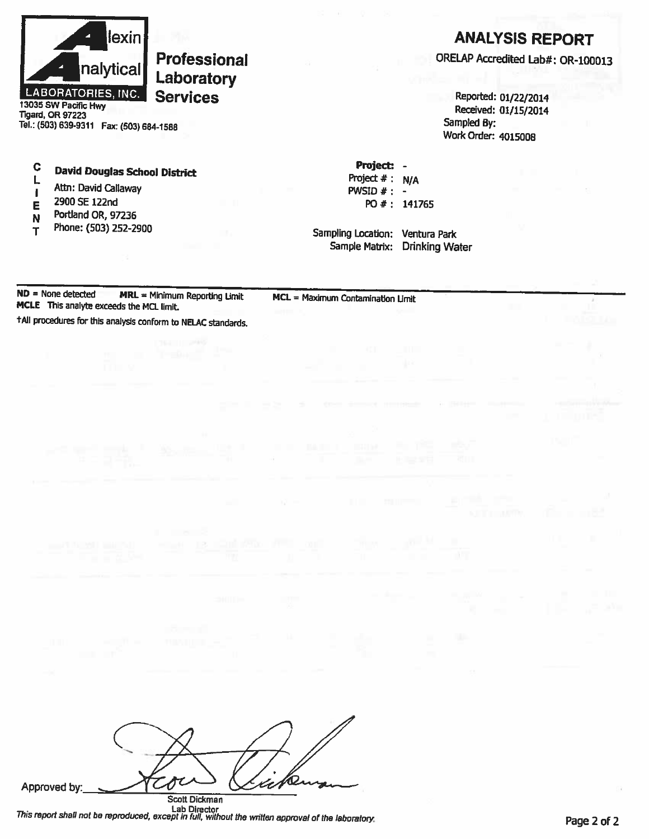

13035 SW Pacific Hwy **Tigard, OR 97223** Tel.: (503) 639-9311 Fax: (503) 684-1588

#### $\mathbf C$ **David Douglas School District**  $\mathbf{L}$

- Attn: David Callaway  $\mathbf{I}$
- 2900 SE 122nd E
- Portland OR, 97236 N
- Phone: (503) 252-2900 T

## **ANALYSIS REPORT**

ORELAP Accredited Lab#: OR-100013

Reported: 01/22/2014 Received: 01/15/2014 Sampled By: Work Order: 4015008

Project: -Project  $# : N/A$ PWSID  $#: -$ PO #: 141765

Sampling Location: Ventura Park Sample Matrix: Drinking Water

 $ND = None detected$  $MRL = Minimum Reporting$  Limit MCLE This analyte exceeds the MCL limit.

MCL = Maximum Contamination Limit

tAll procedures for this analysis conform to NELAC standards.

| Approved by: |                      |  |
|--------------|----------------------|--|
|              | <b>Seatt Dickman</b> |  |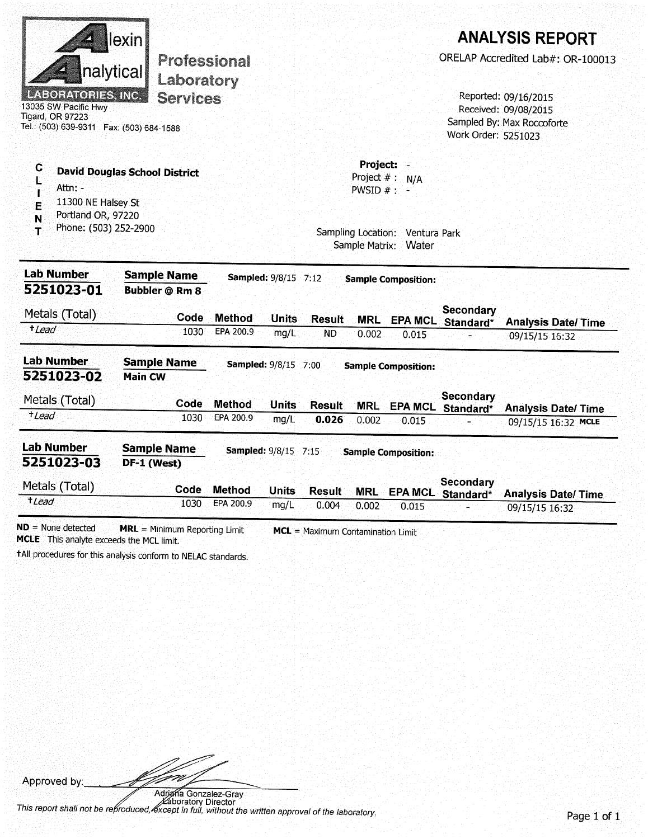|                                                                                                                           | lexin                                |               |                             |               |                                                                                                   |                                                        |                                           | <b>ANALYSIS REPORT</b>    |  |  |  |
|---------------------------------------------------------------------------------------------------------------------------|--------------------------------------|---------------|-----------------------------|---------------|---------------------------------------------------------------------------------------------------|--------------------------------------------------------|-------------------------------------------|---------------------------|--|--|--|
| Professional<br>nalytical<br>Laboratory                                                                                   |                                      |               |                             |               |                                                                                                   | ORELAP Accredited Lab#: OR-100013                      |                                           |                           |  |  |  |
| <b>LABORATORIES, INC.</b><br>13035 SW Pacific Hwy<br><b>Tigard, OR 97223</b><br>Tel.: (503) 639-9311  Fax: (503) 684-1588 | <b>Services</b>                      |               |                             |               | Reported: 09/16/2015<br>Received: 09/08/2015<br>Sampled By: Max Roccoforte<br>Work Order: 5251023 |                                                        |                                           |                           |  |  |  |
| C<br>Ł<br>Attn: -<br>T<br>11300 NE Halsey St<br>E<br>Portland OR, 97220<br>N<br>Phone: (503) 252-2900<br>$\mathbf T$      | <b>David Douglas School District</b> |               |                             |               | Project:<br>Project $#:$<br>PWSID $#$ $-$<br>Sample Matrix:                                       | N/A<br>Sampling Location: Ventura Park<br><b>Water</b> |                                           |                           |  |  |  |
| <b>Lab Number</b>                                                                                                         | <b>Sample Name</b>                   |               | <b>Sampled: 9/8/15 7:12</b> |               |                                                                                                   | <b>Sample Composition:</b>                             |                                           |                           |  |  |  |
| 5251023-01<br>Metals (Total)                                                                                              | <b>Bubbler @ Rm 8</b><br>Code        | <b>Method</b> | <b>Units</b>                | Result        |                                                                                                   |                                                        | Secondary<br><b>MRL</b> EPA MCL Standard* | <b>Analysis Date/Time</b> |  |  |  |
| $t$ lead                                                                                                                  | 1030                                 | EPA 200.9     | mg/L                        | <b>ND</b>     | 0.002                                                                                             | 0.015                                                  |                                           | 09/15/15 16:32            |  |  |  |
| <b>Lab Number</b><br>5251023-02                                                                                           | <b>Sample Name</b><br><b>Main CW</b> |               | <b>Sampled: 9/8/15 7:00</b> |               |                                                                                                   | <b>Sample Composition:</b>                             |                                           |                           |  |  |  |
| Metals (Total)                                                                                                            | Code                                 | <b>Method</b> | <b>Units</b>                | <b>Result</b> | <b>MRL</b>                                                                                        |                                                        | Secondary<br>EPA MCL Standard*            | <b>Analysis Date/Time</b> |  |  |  |
| +Lead                                                                                                                     | 1030                                 | EPA 200.9     | mg/L                        | 0.026         | 0.002                                                                                             | 0.015                                                  |                                           | 09/15/15 16:32 MCLE       |  |  |  |
| <b>Lab Number</b><br>5251023-03                                                                                           | <b>Sample Name</b><br>DF-1 (West)    |               | <b>Sampled: 9/8/15 7:15</b> |               |                                                                                                   | <b>Sample Composition:</b>                             |                                           |                           |  |  |  |
| Metals (Total)                                                                                                            | Code                                 | <b>Method</b> | <b>Units</b>                | <b>Result</b> | <b>MRL</b>                                                                                        |                                                        | <b>Secondary</b><br>EPA MCL Standard*     | <b>Analysis Date/Time</b> |  |  |  |
| $t$ <i>Lead</i>                                                                                                           | 1030                                 | EPA 200.9     | mg/L                        | 0.004         | 0.002                                                                                             | 0.015                                                  |                                           | 09/15/15 16:32            |  |  |  |

 $ND = None detected$ **MRL** = Minimum Reporting Limit MCL = Maximum Contamination Limit MCLE This analyte exceeds the MCL limit.

+All procedures for this analysis conform to NELAC standards.

Approved by:

.<br>Pa t 1

Adrighta Gonzalez-Gray<br>This report shall not be reproduced, except in full, without the written approval of the laboratory.